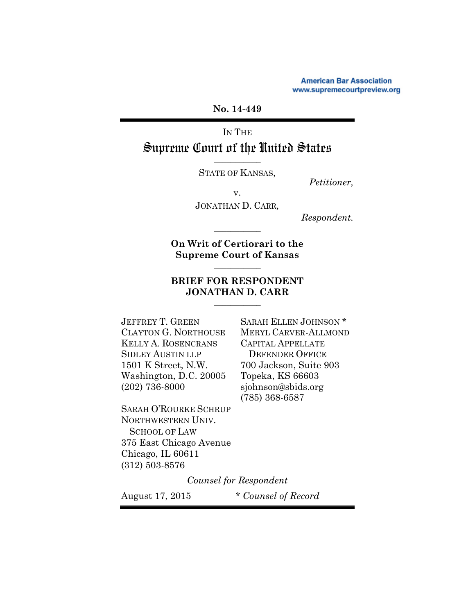**American Bar Association** www.supremecourtpreview.org

**No. 14-449** 

IN THE Supreme Court of the United States

> *\_\_\_\_\_\_\_\_\_\_\_*  STATE OF KANSAS, *Petitioner,*

v.

JONATHAN D. CARR*,*

*Respondent.*

**On Writ of Certiorari to the Supreme Court of Kansas** 

*\_\_\_\_\_\_\_\_\_\_\_* 

*\_\_\_\_\_\_\_\_\_\_\_* 

## **BRIEF FOR RESPONDENT JONATHAN D. CARR**  *\_\_\_\_\_\_\_\_\_\_\_*

KELLY A. ROSENCRANS CAPITAL APPELLATE SIDLEY AUSTIN LLP DEFENDER OFFICE 1501 K Street, N.W. 700 Jackson, Suite 903 Washington, D.C. 20005 Topeka, KS 66603 (202) 736-8000 sjohnson@sbids.org

SARAH O'ROURKE SCHRUP NORTHWESTERN UNIV. SCHOOL OF LAW 375 East Chicago Avenue Chicago, IL 60611 (312) 503-8576

JEFFREY T. GREEN SARAH ELLEN JOHNSON \* CLAYTON G. NORTHOUSE MERYL CARVER-ALLMOND (785) 368-6587

*Counsel for Respondent*

August 17, 2015 *\* Counsel of Record*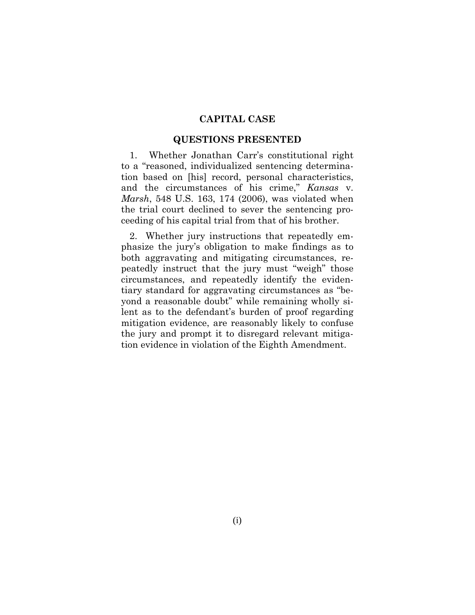#### **CAPITAL CASE**

#### **QUESTIONS PRESENTED**

1. Whether Jonathan Carr's constitutional right to a "reasoned, individualized sentencing determination based on [his] record, personal characteristics, and the circumstances of his crime," *Kansas* v. *Marsh*, 548 U.S. 163, 174 (2006), was violated when the trial court declined to sever the sentencing proceeding of his capital trial from that of his brother.

2. Whether jury instructions that repeatedly emphasize the jury's obligation to make findings as to both aggravating and mitigating circumstances, repeatedly instruct that the jury must "weigh" those circumstances, and repeatedly identify the evidentiary standard for aggravating circumstances as "beyond a reasonable doubt" while remaining wholly silent as to the defendant's burden of proof regarding mitigation evidence, are reasonably likely to confuse the jury and prompt it to disregard relevant mitigation evidence in violation of the Eighth Amendment.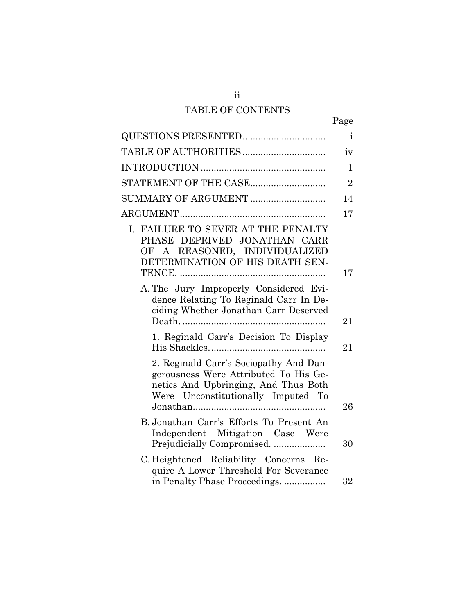# TABLE OF CONTENTS

|                                                                                                                                                               | Page           |
|---------------------------------------------------------------------------------------------------------------------------------------------------------------|----------------|
|                                                                                                                                                               | $\mathbf{i}$   |
|                                                                                                                                                               | iv             |
|                                                                                                                                                               | $\mathbf{1}$   |
| STATEMENT OF THE CASE                                                                                                                                         | $\overline{2}$ |
| SUMMARY OF ARGUMENT                                                                                                                                           | 14             |
|                                                                                                                                                               | 17             |
| I. FAILURE TO SEVER AT THE PENALTY<br>PHASE DEPRIVED JONATHAN CARR<br>OF A REASONED, INDIVIDUALIZED<br>DETERMINATION OF HIS DEATH SEN-                        | 17             |
| A. The Jury Improperly Considered Evi-<br>dence Relating To Reginald Carr In De-<br>ciding Whether Jonathan Carr Deserved                                     | 21             |
| 1. Reginald Carr's Decision To Display                                                                                                                        | 21             |
| 2. Reginald Carr's Sociopathy And Dan-<br>gerousness Were Attributed To His Ge-<br>netics And Upbringing, And Thus Both<br>Were Unconstitutionally Imputed To | 26             |
| B. Jonathan Carr's Efforts To Present An<br>Independent Mitigation Case Were<br>Prejudicially Compromised.                                                    | 30             |
| C. Heightened Reliability Concerns Re-<br>quire A Lower Threshold For Severance<br>in Penalty Phase Proceedings                                               | 32             |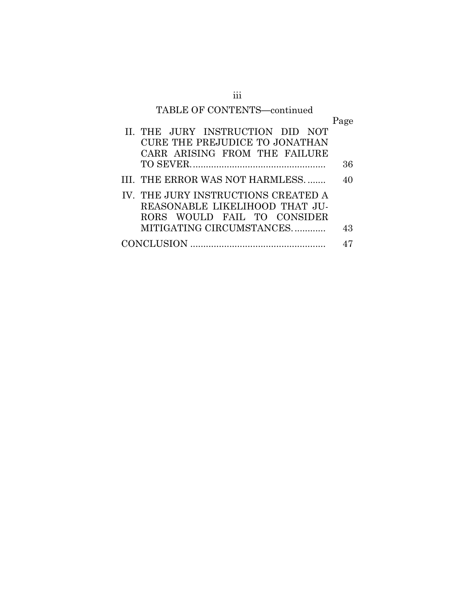# TABLE OF CONTENTS**—**continued

|                                       | Page |
|---------------------------------------|------|
| II. THE JURY INSTRUCTION DID NOT      |      |
| <b>CURE THE PREJUDICE TO JONATHAN</b> |      |
| CARR ARISING FROM THE FAILURE         |      |
|                                       | 36   |
| III. THE ERROR WAS NOT HARMLESS       | 40   |
| IV. THE JURY INSTRUCTIONS CREATED A   |      |
| REASONABLE LIKELIHOOD THAT JU-        |      |
| RORS WOULD FAIL TO CONSIDER           |      |
| MITIGATING CIRCUMSTANCES              | 43   |
|                                       |      |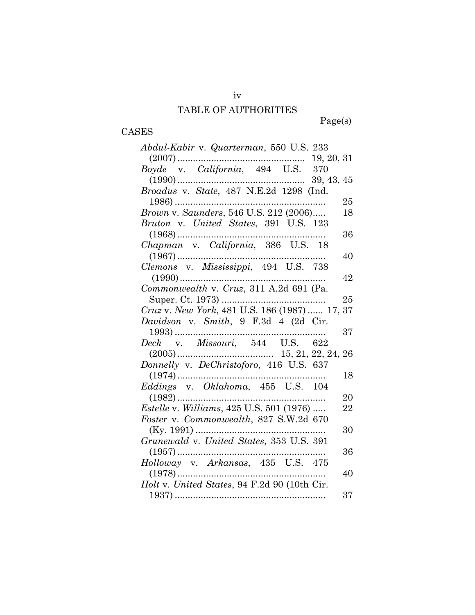#### TABLE OF AUTHORITIES

Page(s)

#### CASES

*Abdul-Kabir* v. *Quarterman*, 550 U.S. 233 (2007) ................................................. 19, 20, 31 *Boyde* v. *California*, 494 U.S. 370 (1990) ................................................. 39, 43, 45 *Broadus* v. *State*, 487 N.E.2d 1298 (Ind. 1986) .......................................................... 25 *Brown v. Saunders,* 546 U.S. 212 (2006)..... 18 *Bruton* v. *United States*, 391 U.S. 123 (1968) ......................................................... 36 *Chapman* v. *California*, 386 U.S. 18 (1967) ......................................................... 40 *Clemons* v. *Mississippi*, 494 U.S. 738 (1990) ........................................................ 42 *Commonwealth* v. *Cruz*, 311 A.2d 691 (Pa. Super. Ct. 1973) ........................................ 25 *Cruz* v. *New York*, 481 U.S. 186 (1987) ...... 17, 37 *Davidson* v. *Smith*, 9 F.3d 4 (2d Cir. 1993) .......................................................... 37 *Deck* v. *Missouri*, 544 U.S. 622 (2005) ..................................... 15, 21, 22, 24, 26 *Donnelly* v. *DeChristoforo*, 416 U.S. 637 (1974) ......................................................... 18 *Eddings* v. *Oklahoma*, 455 U.S. 104 (1982) ......................................................... 20 *Estelle* v. *Williams*, 425 U.S. 501 (1976) ..... 22 *Foster* v. *Commonwealth*, 827 S.W.2d 670 (Ky. 1991) .................................................. 30 *Grunewald* v. *United States*, 353 U.S. 391 (1957) ......................................................... 36 *Holloway* v. *Arkansas*, 435 U.S. 475 (1978) ......................................................... 40 *Holt* v. *United States*, 94 F.2d 90 (10th Cir. 1937) .......................................................... 37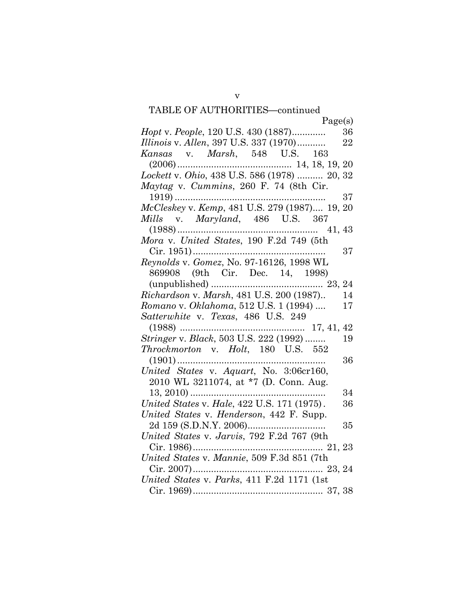# TABLE OF AUTHORITIES**—**continued

| Page(s)                                                                                                                         |
|---------------------------------------------------------------------------------------------------------------------------------|
| Hopt v. People, 120 U.S. 430 (1887)<br>36                                                                                       |
| Illinois v. Allen, 397 U.S. 337 (1970)<br>22                                                                                    |
| Kansas v. Marsh, 548 U.S. 163                                                                                                   |
|                                                                                                                                 |
| Lockett v. Ohio, 438 U.S. 586 (1978)  20, 32                                                                                    |
| Maytag v. Cummins, 260 F. 74 (8th Cir.                                                                                          |
|                                                                                                                                 |
| $\begin{array}{c} {\bf 1919)} \dots 37 \\ \textit{McCleskey v.} \textit{Kemp, 481 U.S. 279 (1987)} \dots 19, 20 \\ \end{array}$ |
| Mills v. Maryland, 486 U.S. 367                                                                                                 |
|                                                                                                                                 |
| Mora v. United States, 190 F.2d 749 (5th                                                                                        |
| 37                                                                                                                              |
| Reynolds v. Gomez, No. 97-16126, 1998 WL                                                                                        |
| 869908 (9th Cir. Dec. 14, 1998)                                                                                                 |
|                                                                                                                                 |
| Richardson v. Marsh, 481 U.S. 200 (1987)<br>14                                                                                  |
| Romano v. Oklahoma, 512 U.S. 1 (1994)<br>17                                                                                     |
| Satterwhite v. Texas, 486 U.S. 249                                                                                              |
|                                                                                                                                 |
|                                                                                                                                 |
| Throckmorton v. Holt, 180 U.S. 552                                                                                              |
| 36                                                                                                                              |
| United States v. Aquart, No. 3:06cr160,                                                                                         |
| 2010 WL 3211074, at *7 (D. Conn. Aug.                                                                                           |
| $13, 2010)$<br>34                                                                                                               |
| United States v. Hale, 422 U.S. 171 (1975).<br>36                                                                               |
| United States v. Henderson, 442 F. Supp.                                                                                        |
| 35                                                                                                                              |
| United States v. Jarvis, 792 F.2d 767 (9th                                                                                      |
|                                                                                                                                 |
| United States v. Mannie, 509 F.3d 851 (7th                                                                                      |
|                                                                                                                                 |
| United States v. Parks, 411 F.2d 1171 (1st                                                                                      |
|                                                                                                                                 |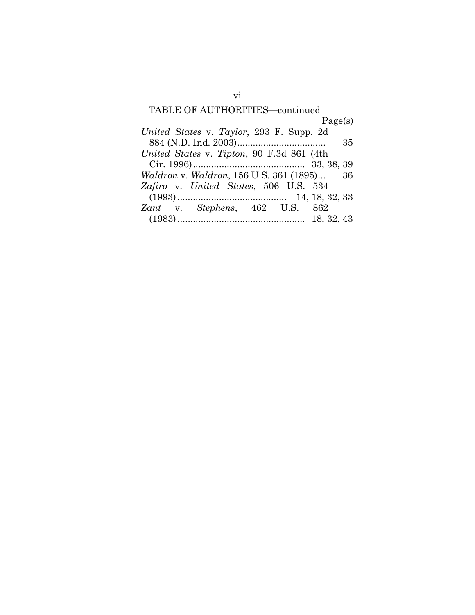# TABLE OF AUTHORITIES**—**continued Page(s) *United States* v. *Taylor*, 293 F. Supp. 2d 884 (N.D. Ind. 2003) .................................. 35 *United States* v. *Tipton*, 90 F.3d 861 (4th Cir. 1996) ........................................... 33, 38, 39 *Waldron* v. *Waldron*, 156 U.S. 361 (1895) ... 36 *Zafiro* v. *United States*, 506 U.S. 534 (1993) .......................................... 14, 18, 32, 33 *Zant* v. *Stephens*, 462 U.S. 862 (1983) ................................................. 18, 32, 43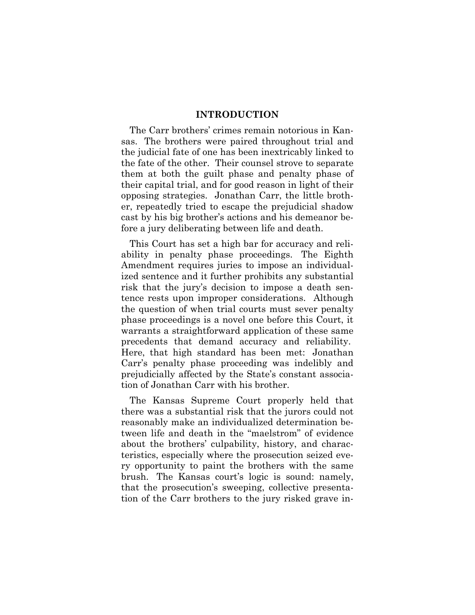#### **INTRODUCTION**

The Carr brothers' crimes remain notorious in Kansas. The brothers were paired throughout trial and the judicial fate of one has been inextricably linked to the fate of the other. Their counsel strove to separate them at both the guilt phase and penalty phase of their capital trial, and for good reason in light of their opposing strategies. Jonathan Carr, the little brother, repeatedly tried to escape the prejudicial shadow cast by his big brother's actions and his demeanor before a jury deliberating between life and death.

This Court has set a high bar for accuracy and reliability in penalty phase proceedings. The Eighth Amendment requires juries to impose an individualized sentence and it further prohibits any substantial risk that the jury's decision to impose a death sentence rests upon improper considerations. Although the question of when trial courts must sever penalty phase proceedings is a novel one before this Court, it warrants a straightforward application of these same precedents that demand accuracy and reliability. Here, that high standard has been met: Jonathan Carr's penalty phase proceeding was indelibly and prejudicially affected by the State's constant association of Jonathan Carr with his brother.

The Kansas Supreme Court properly held that there was a substantial risk that the jurors could not reasonably make an individualized determination between life and death in the "maelstrom" of evidence about the brothers' culpability, history, and characteristics, especially where the prosecution seized every opportunity to paint the brothers with the same brush. The Kansas court's logic is sound: namely, that the prosecution's sweeping, collective presentation of the Carr brothers to the jury risked grave in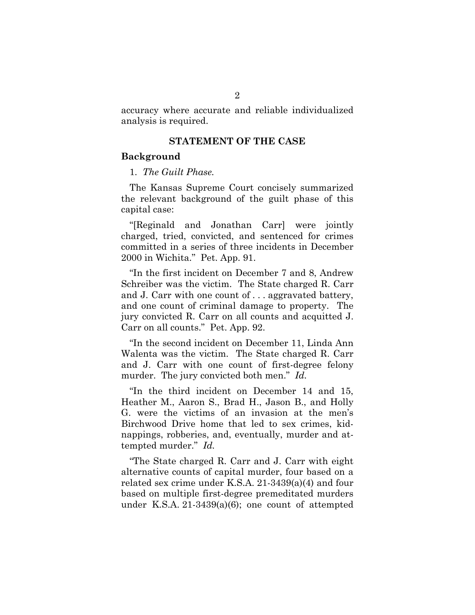accuracy where accurate and reliable individualized analysis is required.

#### **STATEMENT OF THE CASE**

#### **Background**

#### 1. *The Guilt Phase.*

The Kansas Supreme Court concisely summarized the relevant background of the guilt phase of this capital case:

"[Reginald and Jonathan Carr] were jointly charged, tried, convicted, and sentenced for crimes committed in a series of three incidents in December 2000 in Wichita." Pet. App. 91.

"In the first incident on December 7 and 8, Andrew Schreiber was the victim. The State charged R. Carr and J. Carr with one count of . . . aggravated battery, and one count of criminal damage to property. The jury convicted R. Carr on all counts and acquitted J. Carr on all counts." Pet. App. 92.

"In the second incident on December 11, Linda Ann Walenta was the victim. The State charged R. Carr and J. Carr with one count of first-degree felony murder. The jury convicted both men." *Id.*

"In the third incident on December 14 and 15, Heather M., Aaron S., Brad H., Jason B., and Holly G. were the victims of an invasion at the men's Birchwood Drive home that led to sex crimes, kidnappings, robberies, and, eventually, murder and attempted murder." *Id.*

"The State charged R. Carr and J. Carr with eight alternative counts of capital murder, four based on a related sex crime under K.S.A. 21-3439(a)(4) and four based on multiple first-degree premeditated murders under K.S.A. 21-3439(a)(6); one count of attempted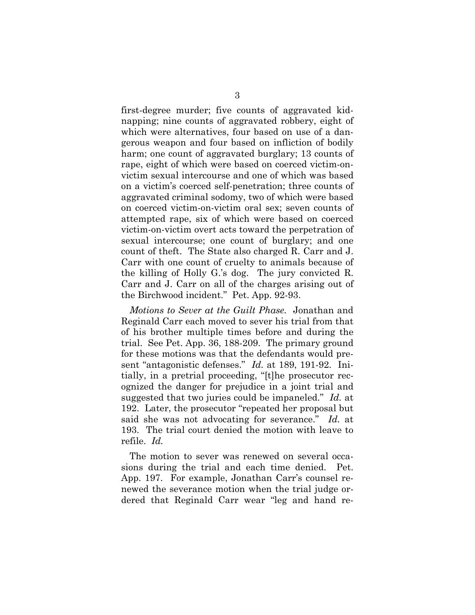first-degree murder; five counts of aggravated kidnapping; nine counts of aggravated robbery, eight of which were alternatives, four based on use of a dangerous weapon and four based on infliction of bodily harm; one count of aggravated burglary; 13 counts of rape, eight of which were based on coerced victim-onvictim sexual intercourse and one of which was based on a victim's coerced self-penetration; three counts of aggravated criminal sodomy, two of which were based on coerced victim-on-victim oral sex; seven counts of attempted rape, six of which were based on coerced victim-on-victim overt acts toward the perpetration of sexual intercourse; one count of burglary; and one count of theft. The State also charged R. Carr and J. Carr with one count of cruelty to animals because of the killing of Holly G.'s dog. The jury convicted R. Carr and J. Carr on all of the charges arising out of the Birchwood incident." Pet. App. 92-93.

*Motions to Sever at the Guilt Phase.* Jonathan and Reginald Carr each moved to sever his trial from that of his brother multiple times before and during the trial. See Pet. App. 36, 188-209. The primary ground for these motions was that the defendants would present "antagonistic defenses." *Id.* at 189, 191-92. Initially, in a pretrial proceeding, "[t]he prosecutor recognized the danger for prejudice in a joint trial and suggested that two juries could be impaneled." *Id.* at 192. Later, the prosecutor "repeated her proposal but said she was not advocating for severance." *Id.* at 193. The trial court denied the motion with leave to refile. *Id.*

The motion to sever was renewed on several occasions during the trial and each time denied. Pet. App. 197. For example, Jonathan Carr's counsel renewed the severance motion when the trial judge ordered that Reginald Carr wear "leg and hand re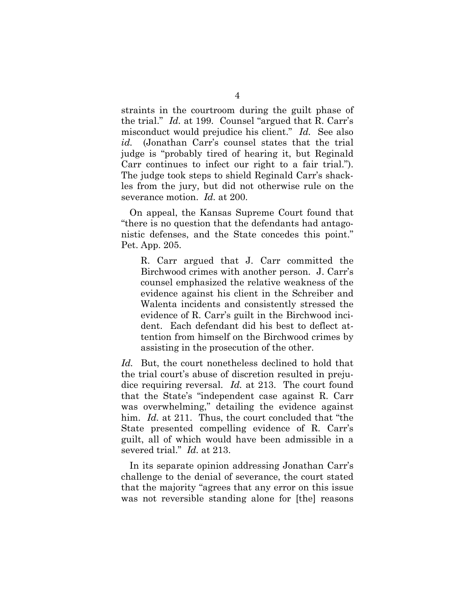straints in the courtroom during the guilt phase of the trial." *Id.* at 199. Counsel "argued that R. Carr's misconduct would prejudice his client." *Id.* See also *id.* (Jonathan Carr's counsel states that the trial judge is "probably tired of hearing it, but Reginald Carr continues to infect our right to a fair trial."). The judge took steps to shield Reginald Carr's shackles from the jury, but did not otherwise rule on the severance motion. *Id.* at 200.

On appeal, the Kansas Supreme Court found that "there is no question that the defendants had antagonistic defenses, and the State concedes this point." Pet. App. 205.

R. Carr argued that J. Carr committed the Birchwood crimes with another person. J. Carr's counsel emphasized the relative weakness of the evidence against his client in the Schreiber and Walenta incidents and consistently stressed the evidence of R. Carr's guilt in the Birchwood incident. Each defendant did his best to deflect attention from himself on the Birchwood crimes by assisting in the prosecution of the other.

*Id.* But, the court nonetheless declined to hold that the trial court's abuse of discretion resulted in prejudice requiring reversal. *Id.* at 213. The court found that the State's "independent case against R. Carr was overwhelming," detailing the evidence against him. *Id.* at 211. Thus, the court concluded that "the State presented compelling evidence of R. Carr's guilt, all of which would have been admissible in a severed trial." *Id.* at 213.

In its separate opinion addressing Jonathan Carr's challenge to the denial of severance, the court stated that the majority "agrees that any error on this issue was not reversible standing alone for [the] reasons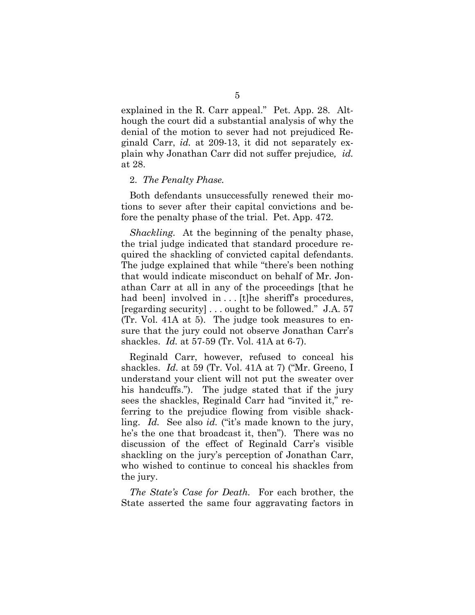explained in the R. Carr appeal." Pet. App. 28. Although the court did a substantial analysis of why the denial of the motion to sever had not prejudiced Reginald Carr, *id.* at 209-13, it did not separately explain why Jonathan Carr did not suffer prejudice*, id.* at 28.

#### 2. *The Penalty Phase.*

Both defendants unsuccessfully renewed their motions to sever after their capital convictions and before the penalty phase of the trial. Pet. App. 472.

*Shackling.* At the beginning of the penalty phase, the trial judge indicated that standard procedure required the shackling of convicted capital defendants. The judge explained that while "there's been nothing that would indicate misconduct on behalf of Mr. Jonathan Carr at all in any of the proceedings [that he had been] involved in ... [t]he sheriff's procedures, [regarding security] . . . ought to be followed." J.A. 57 (Tr. Vol. 41A at 5). The judge took measures to ensure that the jury could not observe Jonathan Carr's shackles. *Id.* at 57-59 (Tr. Vol. 41A at 6-7).

Reginald Carr, however, refused to conceal his shackles. *Id.* at 59 (Tr. Vol. 41A at 7) ("Mr. Greeno, I understand your client will not put the sweater over his handcuffs."). The judge stated that if the jury sees the shackles, Reginald Carr had "invited it," referring to the prejudice flowing from visible shackling. *Id.* See also *id.* ("it's made known to the jury, he's the one that broadcast it, then"). There was no discussion of the effect of Reginald Carr's visible shackling on the jury's perception of Jonathan Carr, who wished to continue to conceal his shackles from the jury.

*The State's Case for Death.* For each brother, the State asserted the same four aggravating factors in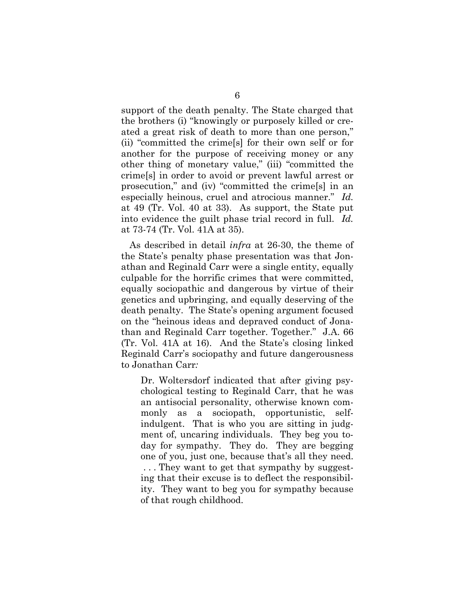support of the death penalty. The State charged that the brothers (i) "knowingly or purposely killed or created a great risk of death to more than one person," (ii) "committed the crime[s] for their own self or for another for the purpose of receiving money or any other thing of monetary value," (iii) "committed the crime[s] in order to avoid or prevent lawful arrest or prosecution," and (iv) "committed the crime[s] in an especially heinous, cruel and atrocious manner." *Id.*  at 49 (Tr. Vol. 40 at 33). As support, the State put into evidence the guilt phase trial record in full. *Id.*  at 73-74 (Tr. Vol. 41A at 35).

As described in detail *infra* at 26-30, the theme of the State's penalty phase presentation was that Jonathan and Reginald Carr were a single entity, equally culpable for the horrific crimes that were committed, equally sociopathic and dangerous by virtue of their genetics and upbringing, and equally deserving of the death penalty. The State's opening argument focused on the "heinous ideas and depraved conduct of Jonathan and Reginald Carr together. Together." J.A. 66 (Tr. Vol. 41A at 16). And the State's closing linked Reginald Carr's sociopathy and future dangerousness to Jonathan Carr*:* 

Dr. Woltersdorf indicated that after giving psychological testing to Reginald Carr, that he was an antisocial personality, otherwise known commonly as a sociopath, opportunistic, selfindulgent. That is who you are sitting in judgment of, uncaring individuals. They beg you today for sympathy. They do. They are begging one of you, just one, because that's all they need. . . . They want to get that sympathy by suggesting that their excuse is to deflect the responsibility. They want to beg you for sympathy because of that rough childhood.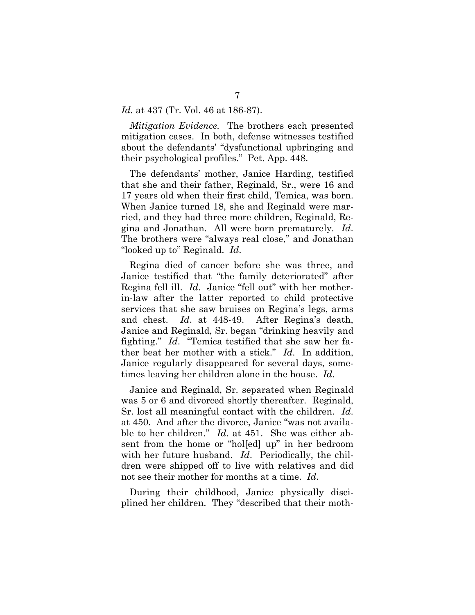#### *Id.* at 437 (Tr. Vol. 46 at 186-87).

*Mitigation Evidence.* The brothers each presented mitigation cases. In both, defense witnesses testified about the defendants' "dysfunctional upbringing and their psychological profiles." Pet. App. 448.

The defendants' mother, Janice Harding, testified that she and their father, Reginald, Sr., were 16 and 17 years old when their first child, Temica, was born. When Janice turned 18, she and Reginald were married, and they had three more children, Reginald, Regina and Jonathan. All were born prematurely. *Id*. The brothers were "always real close," and Jonathan "looked up to" Reginald. *Id*.

Regina died of cancer before she was three, and Janice testified that "the family deteriorated" after Regina fell ill. *Id*. Janice "fell out" with her motherin-law after the latter reported to child protective services that she saw bruises on Regina's legs, arms and chest. *Id*. at 448-49. After Regina's death, Janice and Reginald, Sr. began "drinking heavily and fighting." *Id*. "Temica testified that she saw her father beat her mother with a stick." *Id*. In addition, Janice regularly disappeared for several days, sometimes leaving her children alone in the house. *Id*.

Janice and Reginald, Sr. separated when Reginald was 5 or 6 and divorced shortly thereafter. Reginald, Sr. lost all meaningful contact with the children. *Id*. at 450. And after the divorce, Janice "was not available to her children." *Id*. at 451. She was either absent from the home or "hol[ed] up" in her bedroom with her future husband. *Id*. Periodically, the children were shipped off to live with relatives and did not see their mother for months at a time. *Id*.

During their childhood, Janice physically disciplined her children. They "described that their moth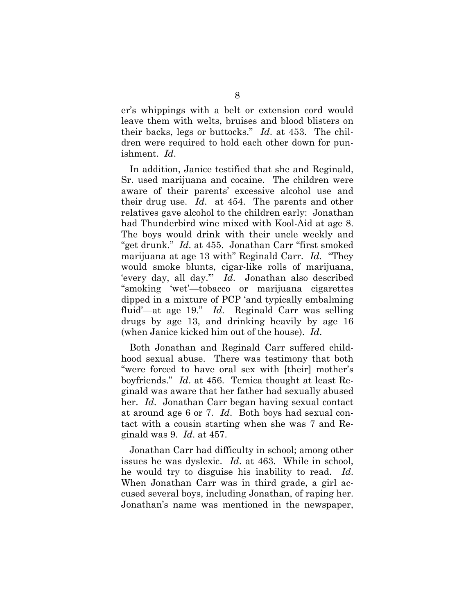er's whippings with a belt or extension cord would leave them with welts, bruises and blood blisters on their backs, legs or buttocks." *Id*. at 453. The children were required to hold each other down for punishment. *Id*.

In addition, Janice testified that she and Reginald, Sr. used marijuana and cocaine. The children were aware of their parents' excessive alcohol use and their drug use. *Id*. at 454. The parents and other relatives gave alcohol to the children early: Jonathan had Thunderbird wine mixed with Kool-Aid at age 8. The boys would drink with their uncle weekly and "get drunk." *Id*. at 455. Jonathan Carr "first smoked marijuana at age 13 with" Reginald Carr. *Id.* "They would smoke blunts, cigar-like rolls of marijuana, 'every day, all day.'" *Id*. Jonathan also described "smoking 'wet'—tobacco or marijuana cigarettes dipped in a mixture of PCP 'and typically embalming fluid'—at age 19." *Id*. Reginald Carr was selling drugs by age 13, and drinking heavily by age 16 (when Janice kicked him out of the house). *Id*.

Both Jonathan and Reginald Carr suffered childhood sexual abuse. There was testimony that both "were forced to have oral sex with [their] mother's boyfriends." *Id*. at 456. Temica thought at least Reginald was aware that her father had sexually abused her. *Id*. Jonathan Carr began having sexual contact at around age 6 or 7. *Id*. Both boys had sexual contact with a cousin starting when she was 7 and Reginald was 9. *Id*. at 457.

Jonathan Carr had difficulty in school; among other issues he was dyslexic. *Id*. at 463. While in school, he would try to disguise his inability to read. *Id*. When Jonathan Carr was in third grade, a girl accused several boys, including Jonathan, of raping her. Jonathan's name was mentioned in the newspaper,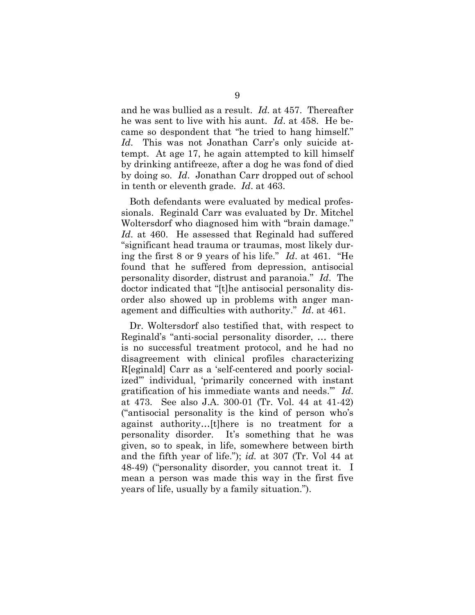and he was bullied as a result. *Id.* at 457. Thereafter he was sent to live with his aunt. *Id*. at 458. He became so despondent that "he tried to hang himself." *Id*. This was not Jonathan Carr's only suicide attempt. At age 17, he again attempted to kill himself by drinking antifreeze, after a dog he was fond of died by doing so. *Id*. Jonathan Carr dropped out of school in tenth or eleventh grade. *Id*. at 463.

Both defendants were evaluated by medical professionals. Reginald Carr was evaluated by Dr. Mitchel Woltersdorf who diagnosed him with "brain damage." *Id*. at 460. He assessed that Reginald had suffered "significant head trauma or traumas, most likely during the first 8 or 9 years of his life." *Id*. at 461. "He found that he suffered from depression, antisocial personality disorder, distrust and paranoia." *Id*. The doctor indicated that "[t]he antisocial personality disorder also showed up in problems with anger management and difficulties with authority." *Id*. at 461.

Dr. Woltersdorf also testified that, with respect to Reginald's "anti-social personality disorder, … there is no successful treatment protocol, and he had no disagreement with clinical profiles characterizing R[eginald] Carr as a 'self-centered and poorly socialized'" individual, 'primarily concerned with instant gratification of his immediate wants and needs.'" *Id*. at 473. See also J.A. 300-01 (Tr. Vol. 44 at 41-42) ("antisocial personality is the kind of person who's against authority…[t]here is no treatment for a personality disorder. It's something that he was given, so to speak, in life, somewhere between birth and the fifth year of life."); *id.* at 307 (Tr. Vol 44 at 48-49) ("personality disorder, you cannot treat it. I mean a person was made this way in the first five years of life, usually by a family situation.").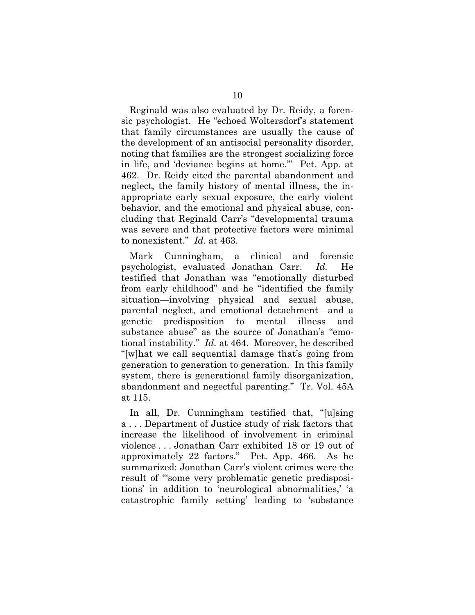Reginald was also evaluated by Dr. Reidy, a forensic psychologist. He "echoed Woltersdorf's statement that family circumstances are usually the cause of the development of an antisocial personality disorder, noting that families are the strongest socializing force in life, and 'deviance begins at home.'" Pet. App. at 462. Dr. Reidy cited the parental abandonment and neglect, the family history of mental illness, the inappropriate early sexual exposure, the early violent behavior, and the emotional and physical abuse, concluding that Reginald Carr's "developmental trauma was severe and that protective factors were minimal to nonexistent." *Id*. at 463.

Mark Cunningham, a clinical and forensic psychologist, evaluated Jonathan Carr. *Id.* He testified that Jonathan was "emotionally disturbed from early childhood" and he "identified the family situation—involving physical and sexual abuse, parental neglect, and emotional detachment—and a genetic predisposition to mental illness and substance abuse" as the source of Jonathan's "emotional instability." *Id.* at 464. Moreover, he described "[w]hat we call sequential damage that's going from generation to generation to generation. In this family system, there is generational family disorganization, abandonment and negectful parenting." Tr. Vol. 45A at 115.

In all, Dr. Cunningham testified that, "[u]sing a . . . Department of Justice study of risk factors that increase the likelihood of involvement in criminal violence . . . Jonathan Carr exhibited 18 or 19 out of approximately 22 factors." Pet. App. 466. As he summarized: Jonathan Carr's violent crimes were the result of "some very problematic genetic predispositions' in addition to 'neurological abnormalities,' 'a catastrophic family setting' leading to 'substance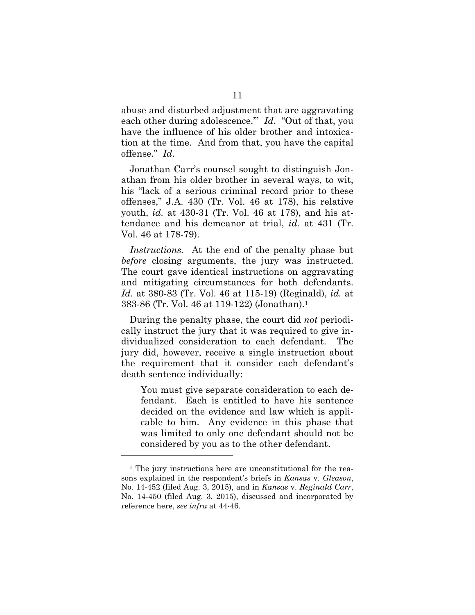abuse and disturbed adjustment that are aggravating each other during adolescence.'" *Id*. "Out of that, you have the influence of his older brother and intoxication at the time. And from that, you have the capital offense." *Id*.

Jonathan Carr's counsel sought to distinguish Jonathan from his older brother in several ways, to wit, his "lack of a serious criminal record prior to these offenses," J.A. 430 (Tr. Vol. 46 at 178), his relative youth, *id.* at 430-31 (Tr. Vol. 46 at 178), and his attendance and his demeanor at trial, *id.* at 431 (Tr. Vol. 46 at 178-79).

*Instructions.* At the end of the penalty phase but *before* closing arguments, the jury was instructed. The court gave identical instructions on aggravating and mitigating circumstances for both defendants. *Id.* at 380-83 (Tr. Vol. 46 at 115-19) (Reginald), *id.* at 383-86 (Tr. Vol. 46 at 119-122) (Jonathan).1

During the penalty phase, the court did *not* periodically instruct the jury that it was required to give individualized consideration to each defendant. The jury did, however, receive a single instruction about the requirement that it consider each defendant's death sentence individually:

You must give separate consideration to each defendant. Each is entitled to have his sentence decided on the evidence and law which is applicable to him. Any evidence in this phase that was limited to only one defendant should not be considered by you as to the other defendant.

<sup>&</sup>lt;sup>1</sup> The jury instructions here are unconstitutional for the reasons explained in the respondent's briefs in *Kansas* v. *Gleason*, No. 14-452 (filed Aug. 3, 2015), and in *Kansas* v. *Reginald Carr*, No. 14-450 (filed Aug. 3, 2015), discussed and incorporated by reference here, *see infra* at 44-46.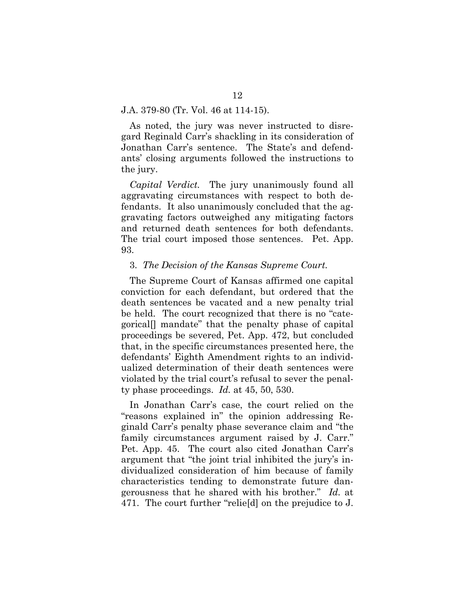#### J.A. 379-80 (Tr. Vol. 46 at 114-15).

As noted, the jury was never instructed to disregard Reginald Carr's shackling in its consideration of Jonathan Carr's sentence. The State's and defendants' closing arguments followed the instructions to the jury.

*Capital Verdict.* The jury unanimously found all aggravating circumstances with respect to both defendants. It also unanimously concluded that the aggravating factors outweighed any mitigating factors and returned death sentences for both defendants. The trial court imposed those sentences. Pet. App. 93.

#### 3. *The Decision of the Kansas Supreme Court.*

The Supreme Court of Kansas affirmed one capital conviction for each defendant, but ordered that the death sentences be vacated and a new penalty trial be held. The court recognized that there is no "categorical[] mandate" that the penalty phase of capital proceedings be severed, Pet. App. 472, but concluded that, in the specific circumstances presented here, the defendants' Eighth Amendment rights to an individualized determination of their death sentences were violated by the trial court's refusal to sever the penalty phase proceedings. *Id.* at 45, 50, 530.

In Jonathan Carr's case, the court relied on the "reasons explained in" the opinion addressing Reginald Carr's penalty phase severance claim and "the family circumstances argument raised by J. Carr." Pet. App. 45. The court also cited Jonathan Carr's argument that "the joint trial inhibited the jury's individualized consideration of him because of family characteristics tending to demonstrate future dangerousness that he shared with his brother." *Id.* at 471. The court further "relie[d] on the prejudice to J.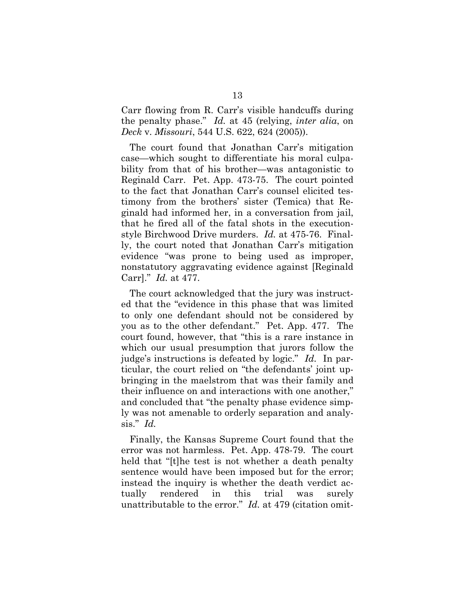Carr flowing from R. Carr's visible handcuffs during the penalty phase." *Id.* at 45 (relying, *inter alia*, on *Deck* v. *Missouri*, 544 U.S. 622, 624 (2005)).

The court found that Jonathan Carr's mitigation case—which sought to differentiate his moral culpability from that of his brother—was antagonistic to Reginald Carr. Pet. App. 473-75. The court pointed to the fact that Jonathan Carr's counsel elicited testimony from the brothers' sister (Temica) that Reginald had informed her, in a conversation from jail, that he fired all of the fatal shots in the executionstyle Birchwood Drive murders. *Id.* at 475-76. Finally, the court noted that Jonathan Carr's mitigation evidence "was prone to being used as improper, nonstatutory aggravating evidence against [Reginald Carr]." *Id.* at 477.

The court acknowledged that the jury was instructed that the "evidence in this phase that was limited to only one defendant should not be considered by you as to the other defendant." Pet. App. 477. The court found, however, that "this is a rare instance in which our usual presumption that jurors follow the judge's instructions is defeated by logic." *Id.* In particular, the court relied on "the defendants' joint upbringing in the maelstrom that was their family and their influence on and interactions with one another," and concluded that "the penalty phase evidence simply was not amenable to orderly separation and analysis." *Id.*

Finally, the Kansas Supreme Court found that the error was not harmless. Pet. App. 478-79. The court held that "[t]he test is not whether a death penalty sentence would have been imposed but for the error; instead the inquiry is whether the death verdict actually rendered in this trial was surely unattributable to the error." *Id.* at 479 (citation omit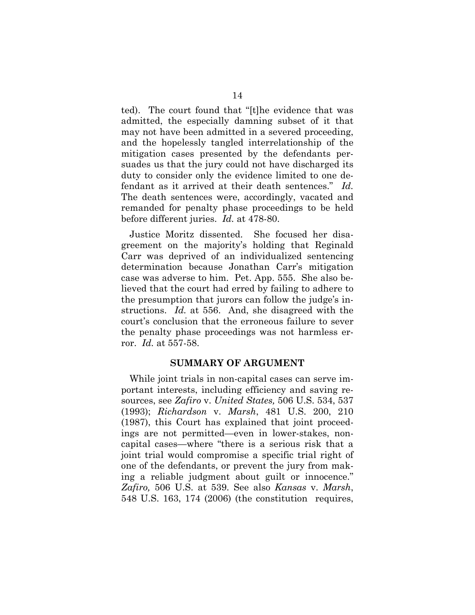ted). The court found that "[t]he evidence that was admitted, the especially damning subset of it that may not have been admitted in a severed proceeding, and the hopelessly tangled interrelationship of the mitigation cases presented by the defendants persuades us that the jury could not have discharged its duty to consider only the evidence limited to one defendant as it arrived at their death sentences." *Id.* The death sentences were, accordingly, vacated and remanded for penalty phase proceedings to be held before different juries. *Id.* at 478-80.

Justice Moritz dissented. She focused her disagreement on the majority's holding that Reginald Carr was deprived of an individualized sentencing determination because Jonathan Carr's mitigation case was adverse to him. Pet. App. 555. She also believed that the court had erred by failing to adhere to the presumption that jurors can follow the judge's instructions. *Id.* at 556. And, she disagreed with the court's conclusion that the erroneous failure to sever the penalty phase proceedings was not harmless error. *Id.* at 557-58.

#### **SUMMARY OF ARGUMENT**

While joint trials in non-capital cases can serve important interests, including efficiency and saving resources, see *Zafiro* v. *United States,* 506 U.S. 534, 537 (1993); *Richardson* v. *Marsh*, 481 U.S. 200, 210 (1987), this Court has explained that joint proceedings are not permitted—even in lower-stakes, noncapital cases—where "there is a serious risk that a joint trial would compromise a specific trial right of one of the defendants, or prevent the jury from making a reliable judgment about guilt or innocence." *Zafiro,* 506 U.S. at 539. See also *Kansas* v. *Marsh*, 548 U.S. 163, 174 (2006) (the constitution requires,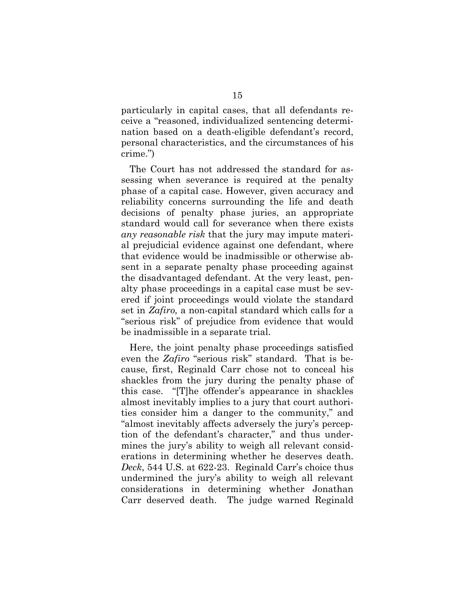particularly in capital cases, that all defendants receive a "reasoned, individualized sentencing determination based on a death-eligible defendant's record, personal characteristics, and the circumstances of his crime.")

The Court has not addressed the standard for assessing when severance is required at the penalty phase of a capital case. However, given accuracy and reliability concerns surrounding the life and death decisions of penalty phase juries, an appropriate standard would call for severance when there exists *any reasonable risk* that the jury may impute material prejudicial evidence against one defendant, where that evidence would be inadmissible or otherwise absent in a separate penalty phase proceeding against the disadvantaged defendant. At the very least, penalty phase proceedings in a capital case must be severed if joint proceedings would violate the standard set in *Zafiro,* a non-capital standard which calls for a "serious risk" of prejudice from evidence that would be inadmissible in a separate trial.

Here, the joint penalty phase proceedings satisfied even the *Zafiro* "serious risk" standard. That is because, first, Reginald Carr chose not to conceal his shackles from the jury during the penalty phase of this case. "[T]he offender's appearance in shackles almost inevitably implies to a jury that court authorities consider him a danger to the community," and "almost inevitably affects adversely the jury's perception of the defendant's character," and thus undermines the jury's ability to weigh all relevant considerations in determining whether he deserves death. *Deck*, 544 U.S. at 622-23. Reginald Carr's choice thus undermined the jury's ability to weigh all relevant considerations in determining whether Jonathan Carr deserved death. The judge warned Reginald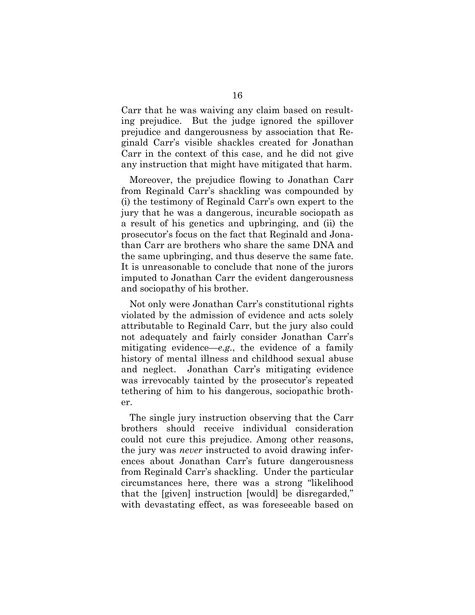Carr that he was waiving any claim based on resulting prejudice. But the judge ignored the spillover prejudice and dangerousness by association that Reginald Carr's visible shackles created for Jonathan Carr in the context of this case, and he did not give any instruction that might have mitigated that harm.

Moreover, the prejudice flowing to Jonathan Carr from Reginald Carr's shackling was compounded by (i) the testimony of Reginald Carr's own expert to the jury that he was a dangerous, incurable sociopath as a result of his genetics and upbringing, and (ii) the prosecutor's focus on the fact that Reginald and Jonathan Carr are brothers who share the same DNA and the same upbringing, and thus deserve the same fate. It is unreasonable to conclude that none of the jurors imputed to Jonathan Carr the evident dangerousness and sociopathy of his brother.

Not only were Jonathan Carr's constitutional rights violated by the admission of evidence and acts solely attributable to Reginald Carr, but the jury also could not adequately and fairly consider Jonathan Carr's mitigating evidence—*e.g.*, the evidence of a family history of mental illness and childhood sexual abuse and neglect. Jonathan Carr's mitigating evidence was irrevocably tainted by the prosecutor's repeated tethering of him to his dangerous, sociopathic brother.

The single jury instruction observing that the Carr brothers should receive individual consideration could not cure this prejudice. Among other reasons, the jury was *never* instructed to avoid drawing inferences about Jonathan Carr's future dangerousness from Reginald Carr's shackling. Under the particular circumstances here, there was a strong "likelihood that the [given] instruction [would] be disregarded," with devastating effect, as was foreseeable based on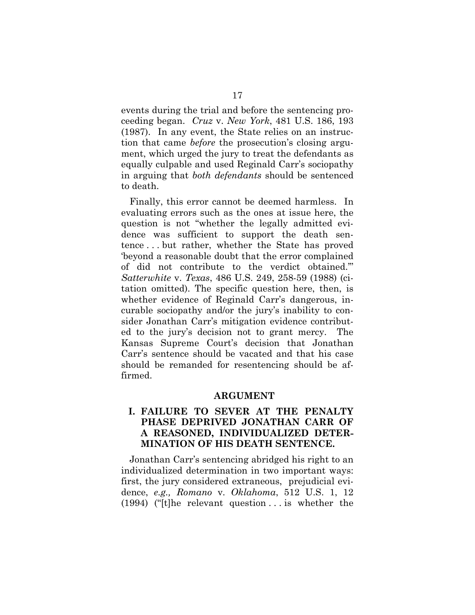events during the trial and before the sentencing proceeding began. *Cruz* v. *New York*, 481 U.S. 186, 193 (1987). In any event, the State relies on an instruction that came *before* the prosecution's closing argument, which urged the jury to treat the defendants as equally culpable and used Reginald Carr's sociopathy in arguing that *both defendants* should be sentenced to death.

Finally, this error cannot be deemed harmless. In evaluating errors such as the ones at issue here, the question is not "whether the legally admitted evidence was sufficient to support the death sentence . . . but rather, whether the State has proved 'beyond a reasonable doubt that the error complained of did not contribute to the verdict obtained.'" *Satterwhite* v. *Texas*, 486 U.S. 249, 258-59 (1988) (citation omitted). The specific question here, then, is whether evidence of Reginald Carr's dangerous, incurable sociopathy and/or the jury's inability to consider Jonathan Carr's mitigation evidence contributed to the jury's decision not to grant mercy. The Kansas Supreme Court's decision that Jonathan Carr's sentence should be vacated and that his case should be remanded for resentencing should be affirmed.

#### **ARGUMENT**

# **I. FAILURE TO SEVER AT THE PENALTY PHASE DEPRIVED JONATHAN CARR OF A REASONED, INDIVIDUALIZED DETER-MINATION OF HIS DEATH SENTENCE.**

Jonathan Carr's sentencing abridged his right to an individualized determination in two important ways: first, the jury considered extraneous, prejudicial evidence, *e.g., Romano* v. *Oklahoma*, 512 U.S. 1, 12 (1994) ("[t]he relevant question . . . is whether the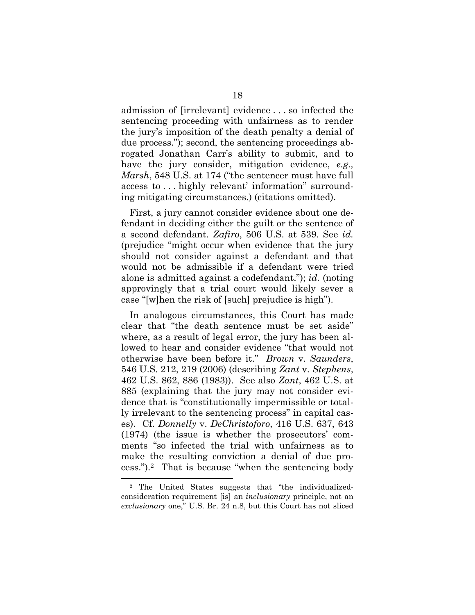admission of [irrelevant] evidence . . . so infected the sentencing proceeding with unfairness as to render the jury's imposition of the death penalty a denial of due process."); second, the sentencing proceedings abrogated Jonathan Carr's ability to submit, and to have the jury consider, mitigation evidence, *e.g., Marsh*, 548 U.S. at 174 ("the sentencer must have full access to . . . highly relevant' information" surrounding mitigating circumstances.) (citations omitted).

First, a jury cannot consider evidence about one defendant in deciding either the guilt or the sentence of a second defendant. *Zafiro*, 506 U.S. at 539. See *id.*  (prejudice "might occur when evidence that the jury should not consider against a defendant and that would not be admissible if a defendant were tried alone is admitted against a codefendant."); *id.* (noting approvingly that a trial court would likely sever a case "[w]hen the risk of [such] prejudice is high").

In analogous circumstances, this Court has made clear that "the death sentence must be set aside" where, as a result of legal error, the jury has been allowed to hear and consider evidence "that would not otherwise have been before it." *Brown* v. *Saunders*, 546 U.S. 212, 219 (2006) (describing *Zant* v. *Stephens*, 462 U.S. 862, 886 (1983)). See also *Zant*, 462 U.S. at 885 (explaining that the jury may not consider evidence that is "constitutionally impermissible or totally irrelevant to the sentencing process" in capital cases). Cf. *Donnelly* v. *DeChristoforo*, 416 U.S. 637, 643 (1974) (the issue is whether the prosecutors' comments "so infected the trial with unfairness as to make the resulting conviction a denial of due process.").2 That is because "when the sentencing body

 <sup>2</sup> The United States suggests that "the individualizedconsideration requirement [is] an *inclusionary* principle, not an *exclusionary* one," U.S. Br. 24 n.8, but this Court has not sliced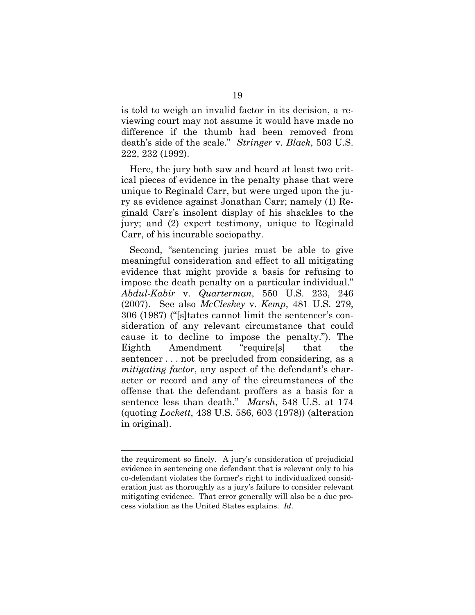is told to weigh an invalid factor in its decision, a reviewing court may not assume it would have made no difference if the thumb had been removed from death's side of the scale." *Stringer* v. *Black*, 503 U.S. 222, 232 (1992).

Here, the jury both saw and heard at least two critical pieces of evidence in the penalty phase that were unique to Reginald Carr, but were urged upon the jury as evidence against Jonathan Carr; namely (1) Reginald Carr's insolent display of his shackles to the jury; and (2) expert testimony, unique to Reginald Carr, of his incurable sociopathy.

Second, "sentencing juries must be able to give meaningful consideration and effect to all mitigating evidence that might provide a basis for refusing to impose the death penalty on a particular individual." *Abdul-Kabir* v. *Quarterman*, 550 U.S. 233, 246 (2007). See also *McCleskey* v. *Kemp*, 481 U.S. 279, 306 (1987) ("[s]tates cannot limit the sentencer's consideration of any relevant circumstance that could cause it to decline to impose the penalty."). The Eighth Amendment "require[s] that the sentencer . . . not be precluded from considering, as a *mitigating factor*, any aspect of the defendant's character or record and any of the circumstances of the offense that the defendant proffers as a basis for a sentence less than death." *Marsh*, 548 U.S. at 174 (quoting *Lockett*, 438 U.S. 586, 603 (1978)) (alteration in original).

the requirement so finely. A jury's consideration of prejudicial evidence in sentencing one defendant that is relevant only to his co-defendant violates the former's right to individualized consideration just as thoroughly as a jury's failure to consider relevant mitigating evidence. That error generally will also be a due process violation as the United States explains. *Id.*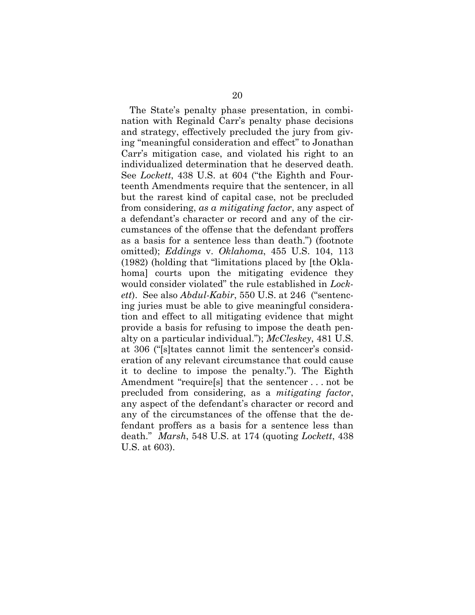The State's penalty phase presentation, in combination with Reginald Carr's penalty phase decisions and strategy, effectively precluded the jury from giving "meaningful consideration and effect" to Jonathan Carr's mitigation case, and violated his right to an individualized determination that he deserved death. See *Lockett*, 438 U.S. at 604 ("the Eighth and Fourteenth Amendments require that the sentencer, in all but the rarest kind of capital case, not be precluded from considering, *as a mitigating factor*, any aspect of a defendant's character or record and any of the circumstances of the offense that the defendant proffers as a basis for a sentence less than death.") (footnote omitted); *Eddings* v. *Oklahoma*, 455 U.S. 104, 113 (1982) (holding that "limitations placed by [the Oklahoma] courts upon the mitigating evidence they would consider violated" the rule established in *Lockett*).See also *Abdul-Kabir*, 550 U.S. at 246 ("sentencing juries must be able to give meaningful consideration and effect to all mitigating evidence that might provide a basis for refusing to impose the death penalty on a particular individual."); *McCleskey*, 481 U.S. at 306 ("[s]tates cannot limit the sentencer's consideration of any relevant circumstance that could cause it to decline to impose the penalty."). The Eighth Amendment "require[s] that the sentencer . . . not be precluded from considering, as a *mitigating factor*, any aspect of the defendant's character or record and any of the circumstances of the offense that the defendant proffers as a basis for a sentence less than death." *Marsh*, 548 U.S. at 174 (quoting *Lockett*, 438 U.S. at 603).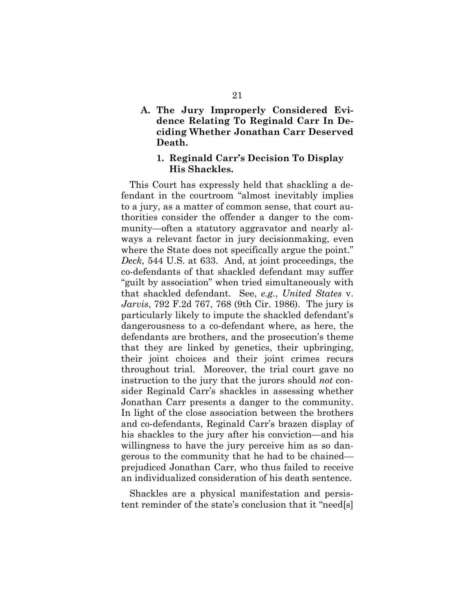# **A. The Jury Improperly Considered Evidence Relating To Reginald Carr In Deciding Whether Jonathan Carr Deserved Death.**

#### **1. Reginald Carr's Decision To Display His Shackles.**

This Court has expressly held that shackling a defendant in the courtroom "almost inevitably implies to a jury, as a matter of common sense, that court authorities consider the offender a danger to the community—often a statutory aggravator and nearly always a relevant factor in jury decisionmaking, even where the State does not specifically argue the point." *Deck*, 544 U.S. at 633. And, at joint proceedings, the co-defendants of that shackled defendant may suffer "guilt by association" when tried simultaneously with that shackled defendant. See, *e.g.*, *United States* v. *Jarvis*, 792 F.2d 767, 768 (9th Cir. 1986). The jury is particularly likely to impute the shackled defendant's dangerousness to a co-defendant where, as here, the defendants are brothers, and the prosecution's theme that they are linked by genetics, their upbringing, their joint choices and their joint crimes recurs throughout trial. Moreover, the trial court gave no instruction to the jury that the jurors should *not* consider Reginald Carr's shackles in assessing whether Jonathan Carr presents a danger to the community. In light of the close association between the brothers and co-defendants, Reginald Carr's brazen display of his shackles to the jury after his conviction—and his willingness to have the jury perceive him as so dangerous to the community that he had to be chained prejudiced Jonathan Carr, who thus failed to receive an individualized consideration of his death sentence.

Shackles are a physical manifestation and persistent reminder of the state's conclusion that it "need[s]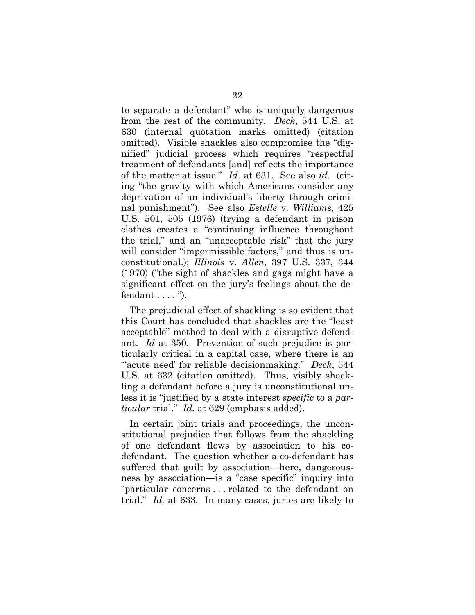to separate a defendant" who is uniquely dangerous from the rest of the community. *Deck*, 544 U.S. at 630 (internal quotation marks omitted) (citation omitted). Visible shackles also compromise the "dignified" judicial process which requires "respectful treatment of defendants [and] reflects the importance of the matter at issue." *Id.* at 631.See also *id.* (citing "the gravity with which Americans consider any deprivation of an individual's liberty through criminal punishment"). See also *Estelle* v. *Williams*, 425 U.S. 501, 505 (1976) (trying a defendant in prison clothes creates a "continuing influence throughout the trial," and an "unacceptable risk" that the jury will consider "impermissible factors," and thus is unconstitutional.); *Illinois* v. *Allen*, 397 U.S. 337, 344 (1970) ("the sight of shackles and gags might have a significant effect on the jury's feelings about the defendant . . . . ").

The prejudicial effect of shackling is so evident that this Court has concluded that shackles are the "least acceptable" method to deal with a disruptive defendant. *Id* at 350. Prevention of such prejudice is particularly critical in a capital case, where there is an "acute need' for reliable decisionmaking." *Deck*, 544 U.S. at 632 (citation omitted). Thus, visibly shackling a defendant before a jury is unconstitutional unless it is "justified by a state interest *specific* to a *particular* trial." *Id.* at 629 (emphasis added).

In certain joint trials and proceedings, the unconstitutional prejudice that follows from the shackling of one defendant flows by association to his codefendant. The question whether a co-defendant has suffered that guilt by association—here, dangerousness by association—is a "case specific" inquiry into "particular concerns . . . related to the defendant on trial." *Id.* at 633. In many cases, juries are likely to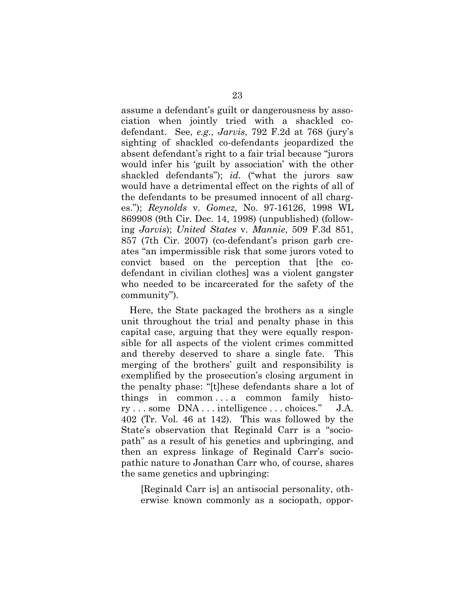assume a defendant's guilt or dangerousness by association when jointly tried with a shackled codefendant. See, *e.g.*, *Jarvis*, 792 F.2d at 768 (jury's sighting of shackled co-defendants jeopardized the absent defendant's right to a fair trial because "jurors would infer his 'guilt by association' with the other shackled defendants"); *id.* ("what the jurors saw would have a detrimental effect on the rights of all of the defendants to be presumed innocent of all charges."); *Reynolds* v. *Gomez*, No. 97-16126, 1998 WL 869908 (9th Cir. Dec. 14, 1998) (unpublished) (following *Jarvis*); *United States* v. *Mannie*, 509 F.3d 851, 857 (7th Cir. 2007) (co-defendant's prison garb creates "an impermissible risk that some jurors voted to convict based on the perception that [the codefendant in civilian clothes] was a violent gangster who needed to be incarcerated for the safety of the community").

Here, the State packaged the brothers as a single unit throughout the trial and penalty phase in this capital case, arguing that they were equally responsible for all aspects of the violent crimes committed and thereby deserved to share a single fate. This merging of the brothers' guilt and responsibility is exemplified by the prosecution's closing argument in the penalty phase: "[t]hese defendants share a lot of things in common . . . a common family history . . . some DNA . . . intelligence . . . choices." J.A. 402 (Tr. Vol. 46 at 142). This was followed by the State's observation that Reginald Carr is a "sociopath" as a result of his genetics and upbringing, and then an express linkage of Reginald Carr's sociopathic nature to Jonathan Carr who, of course, shares the same genetics and upbringing:

[Reginald Carr is] an antisocial personality, otherwise known commonly as a sociopath, oppor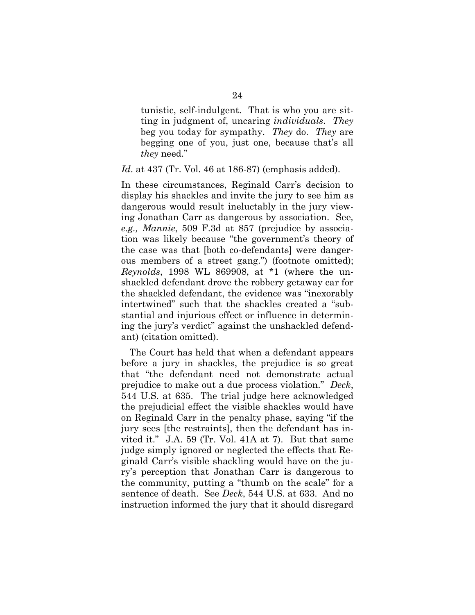tunistic, self-indulgent. That is who you are sitting in judgment of, uncaring *individuals*. *They* beg you today for sympathy. *They* do. *They* are begging one of you, just one, because that's all *they* need."

#### *Id*. at 437 (Tr. Vol. 46 at 186-87) (emphasis added).

In these circumstances, Reginald Carr's decision to display his shackles and invite the jury to see him as dangerous would result ineluctably in the jury viewing Jonathan Carr as dangerous by association. See*, e.g., Mannie*, 509 F.3d at 857 (prejudice by association was likely because "the government's theory of the case was that [both co-defendants] were dangerous members of a street gang.") (footnote omitted); *Reynolds*, 1998 WL 869908, at \*1 (where the unshackled defendant drove the robbery getaway car for the shackled defendant, the evidence was "inexorably intertwined" such that the shackles created a "substantial and injurious effect or influence in determining the jury's verdict" against the unshackled defendant) (citation omitted).

The Court has held that when a defendant appears before a jury in shackles, the prejudice is so great that "the defendant need not demonstrate actual prejudice to make out a due process violation." *Deck*, 544 U.S. at 635. The trial judge here acknowledged the prejudicial effect the visible shackles would have on Reginald Carr in the penalty phase, saying "if the jury sees [the restraints], then the defendant has invited it." J.A. 59 (Tr. Vol. 41A at 7). But that same judge simply ignored or neglected the effects that Reginald Carr's visible shackling would have on the jury's perception that Jonathan Carr is dangerous to the community, putting a "thumb on the scale" for a sentence of death. See *Deck*, 544 U.S. at 633. And no instruction informed the jury that it should disregard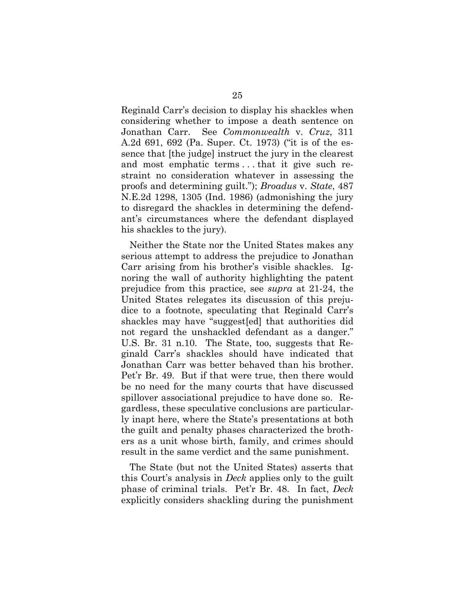Reginald Carr's decision to display his shackles when considering whether to impose a death sentence on Jonathan Carr. See *Commonwealth* v. *Cruz*, 311 A.2d 691, 692 (Pa. Super. Ct. 1973) ("it is of the essence that [the judge] instruct the jury in the clearest and most emphatic terms . . . that it give such restraint no consideration whatever in assessing the proofs and determining guilt."); *Broadus* v. *State*, 487 N.E.2d 1298, 1305 (Ind. 1986) (admonishing the jury to disregard the shackles in determining the defendant's circumstances where the defendant displayed his shackles to the jury).

Neither the State nor the United States makes any serious attempt to address the prejudice to Jonathan Carr arising from his brother's visible shackles. Ignoring the wall of authority highlighting the patent prejudice from this practice, see *supra* at 21-24, the United States relegates its discussion of this prejudice to a footnote, speculating that Reginald Carr's shackles may have "suggest[ed] that authorities did not regard the unshackled defendant as a danger." U.S. Br. 31 n.10. The State, too, suggests that Reginald Carr's shackles should have indicated that Jonathan Carr was better behaved than his brother. Pet'r Br. 49. But if that were true, then there would be no need for the many courts that have discussed spillover associational prejudice to have done so. Regardless, these speculative conclusions are particularly inapt here, where the State's presentations at both the guilt and penalty phases characterized the brothers as a unit whose birth, family, and crimes should result in the same verdict and the same punishment.

The State (but not the United States) asserts that this Court's analysis in *Deck* applies only to the guilt phase of criminal trials. Pet'r Br. 48. In fact, *Deck* explicitly considers shackling during the punishment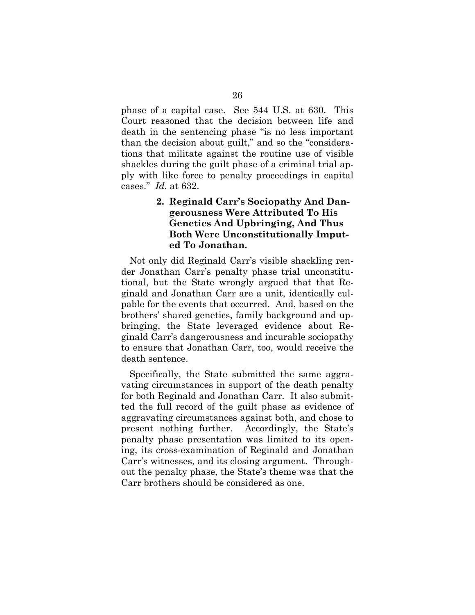phase of a capital case. See 544 U.S. at 630. This Court reasoned that the decision between life and death in the sentencing phase "is no less important than the decision about guilt," and so the "considerations that militate against the routine use of visible shackles during the guilt phase of a criminal trial apply with like force to penalty proceedings in capital cases." *Id.* at 632.

# **2. Reginald Carr's Sociopathy And Dangerousness Were Attributed To His Genetics And Upbringing, And Thus Both Were Unconstitutionally Imputed To Jonathan.**

Not only did Reginald Carr's visible shackling render Jonathan Carr's penalty phase trial unconstitutional, but the State wrongly argued that that Reginald and Jonathan Carr are a unit, identically culpable for the events that occurred. And, based on the brothers' shared genetics, family background and upbringing, the State leveraged evidence about Reginald Carr's dangerousness and incurable sociopathy to ensure that Jonathan Carr, too, would receive the death sentence.

Specifically, the State submitted the same aggravating circumstances in support of the death penalty for both Reginald and Jonathan Carr. It also submitted the full record of the guilt phase as evidence of aggravating circumstances against both, and chose to present nothing further. Accordingly, the State's penalty phase presentation was limited to its opening, its cross-examination of Reginald and Jonathan Carr's witnesses, and its closing argument. Throughout the penalty phase, the State's theme was that the Carr brothers should be considered as one.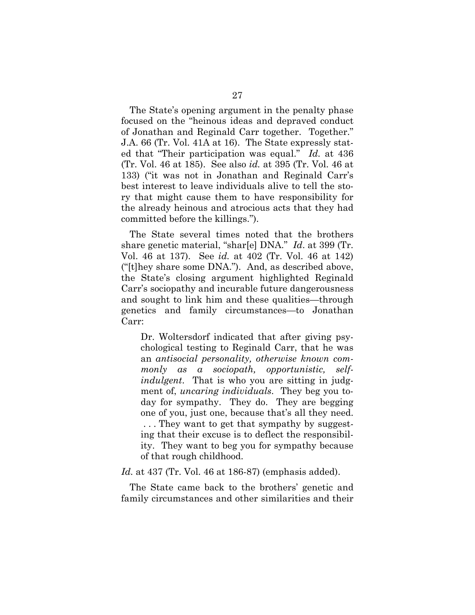The State's opening argument in the penalty phase focused on the "heinous ideas and depraved conduct of Jonathan and Reginald Carr together. Together." J.A. 66 (Tr. Vol. 41A at 16). The State expressly stated that "Their participation was equal." *Id.* at 436 (Tr. Vol. 46 at 185). See also *id.* at 395 (Tr. Vol. 46 at 133) ("it was not in Jonathan and Reginald Carr's best interest to leave individuals alive to tell the story that might cause them to have responsibility for the already heinous and atrocious acts that they had committed before the killings.").

The State several times noted that the brothers share genetic material, "shar[e] DNA." *Id*. at 399 (Tr. Vol. 46 at 137). See *id.* at 402 (Tr. Vol. 46 at 142) ("[t]hey share some DNA."). And, as described above, the State's closing argument highlighted Reginald Carr's sociopathy and incurable future dangerousness and sought to link him and these qualities—through genetics and family circumstances—to Jonathan Carr:

Dr. Woltersdorf indicated that after giving psychological testing to Reginald Carr, that he was an *antisocial personality, otherwise known commonly as a sociopath, opportunistic, selfindulgent*. That is who you are sitting in judgment of, *uncaring individuals*. They beg you today for sympathy. They do. They are begging one of you, just one, because that's all they need. . . . They want to get that sympathy by suggesting that their excuse is to deflect the responsibility. They want to beg you for sympathy because of that rough childhood.

#### *Id.* at 437 (Tr. Vol. 46 at 186-87) (emphasis added).

The State came back to the brothers' genetic and family circumstances and other similarities and their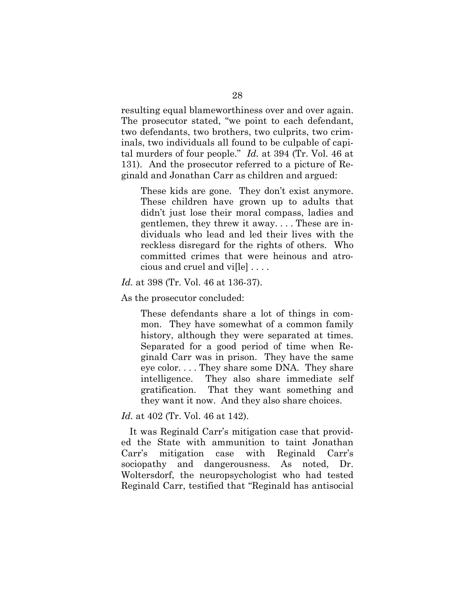resulting equal blameworthiness over and over again. The prosecutor stated, "we point to each defendant, two defendants, two brothers, two culprits, two criminals, two individuals all found to be culpable of capital murders of four people." *Id.* at 394 (Tr. Vol. 46 at 131). And the prosecutor referred to a picture of Reginald and Jonathan Carr as children and argued:

These kids are gone. They don't exist anymore. These children have grown up to adults that didn't just lose their moral compass, ladies and gentlemen, they threw it away. . . . These are individuals who lead and led their lives with the reckless disregard for the rights of others. Who committed crimes that were heinous and atrocious and cruel and vi[le] . . . .

#### *Id.* at 398 (Tr. Vol. 46 at 136-37).

As the prosecutor concluded:

These defendants share a lot of things in common. They have somewhat of a common family history, although they were separated at times. Separated for a good period of time when Reginald Carr was in prison. They have the same eye color. . . . They share some DNA. They share intelligence. They also share immediate self gratification. That they want something and they want it now. And they also share choices.

#### *Id.* at 402 (Tr. Vol. 46 at 142).

It was Reginald Carr's mitigation case that provided the State with ammunition to taint Jonathan Carr's mitigation case with Reginald Carr's sociopathy and dangerousness. As noted, Dr. Woltersdorf, the neuropsychologist who had tested Reginald Carr, testified that "Reginald has antisocial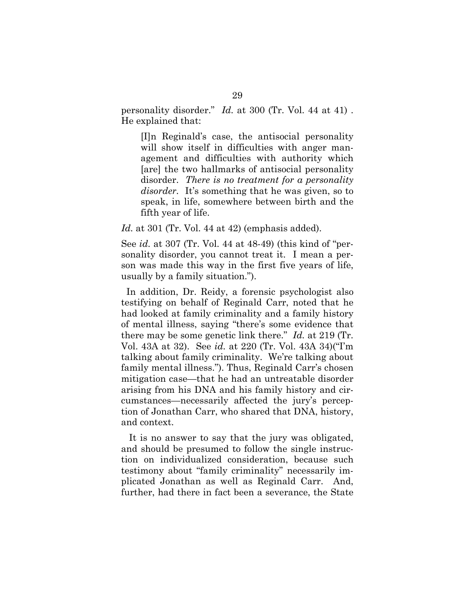personality disorder." *Id.* at 300 (Tr. Vol. 44 at 41) . He explained that:

[I]n Reginald's case, the antisocial personality will show itself in difficulties with anger management and difficulties with authority which [are] the two hallmarks of antisocial personality disorder. *There is no treatment for a personality disorder.* It's something that he was given, so to speak, in life, somewhere between birth and the fifth year of life.

*Id.* at 301 (Tr. Vol. 44 at 42) (emphasis added).

See *id.* at 307 (Tr. Vol. 44 at 48-49) (this kind of "personality disorder, you cannot treat it. I mean a person was made this way in the first five years of life, usually by a family situation.").

 In addition, Dr. Reidy, a forensic psychologist also testifying on behalf of Reginald Carr, noted that he had looked at family criminality and a family history of mental illness, saying "there's some evidence that there may be some genetic link there." *Id.* at 219 (Tr. Vol. 43A at 32). See *id.* at 220 (Tr. Vol. 43A 34)("I'm talking about family criminality. We're talking about family mental illness."). Thus, Reginald Carr's chosen mitigation case—that he had an untreatable disorder arising from his DNA and his family history and circumstances—necessarily affected the jury's perception of Jonathan Carr, who shared that DNA, history, and context.

 It is no answer to say that the jury was obligated, and should be presumed to follow the single instruction on individualized consideration, because such testimony about "family criminality" necessarily implicated Jonathan as well as Reginald Carr. And, further, had there in fact been a severance, the State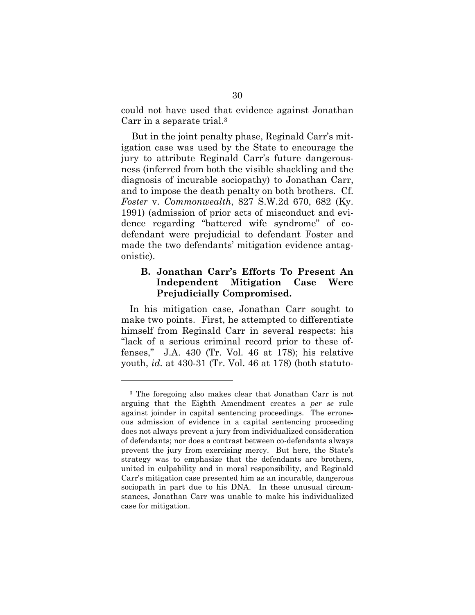could not have used that evidence against Jonathan Carr in a separate trial.3

 But in the joint penalty phase, Reginald Carr's mitigation case was used by the State to encourage the jury to attribute Reginald Carr's future dangerousness (inferred from both the visible shackling and the diagnosis of incurable sociopathy) to Jonathan Carr, and to impose the death penalty on both brothers. Cf. *Foster* v. *Commonwealth*, 827 S.W.2d 670, 682 (Ky. 1991) (admission of prior acts of misconduct and evidence regarding "battered wife syndrome" of codefendant were prejudicial to defendant Foster and made the two defendants' mitigation evidence antagonistic).

## **B. Jonathan Carr's Efforts To Present An Independent Mitigation Case Were Prejudicially Compromised.**

In his mitigation case, Jonathan Carr sought to make two points. First, he attempted to differentiate himself from Reginald Carr in several respects: his "lack of a serious criminal record prior to these offenses," J.A. 430 (Tr. Vol. 46 at 178); his relative youth, *id.* at 430-31 (Tr. Vol. 46 at 178) (both statuto-

<sup>3</sup> The foregoing also makes clear that Jonathan Carr is not arguing that the Eighth Amendment creates a *per se* rule against joinder in capital sentencing proceedings. The erroneous admission of evidence in a capital sentencing proceeding does not always prevent a jury from individualized consideration of defendants; nor does a contrast between co-defendants always prevent the jury from exercising mercy. But here, the State's strategy was to emphasize that the defendants are brothers, united in culpability and in moral responsibility, and Reginald Carr's mitigation case presented him as an incurable, dangerous sociopath in part due to his DNA. In these unusual circumstances, Jonathan Carr was unable to make his individualized case for mitigation.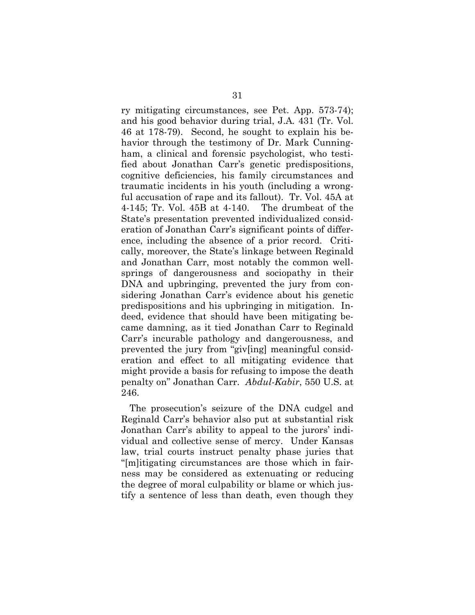ry mitigating circumstances, see Pet. App. 573-74); and his good behavior during trial, J.A*.* 431 (Tr. Vol. 46 at 178-79). Second, he sought to explain his behavior through the testimony of Dr. Mark Cunningham, a clinical and forensic psychologist, who testified about Jonathan Carr's genetic predispositions, cognitive deficiencies, his family circumstances and traumatic incidents in his youth (including a wrongful accusation of rape and its fallout). Tr. Vol. 45A at 4-145; Tr. Vol. 45B at 4-140. The drumbeat of the State's presentation prevented individualized consideration of Jonathan Carr's significant points of difference, including the absence of a prior record. Critically, moreover, the State's linkage between Reginald and Jonathan Carr, most notably the common wellsprings of dangerousness and sociopathy in their DNA and upbringing, prevented the jury from considering Jonathan Carr's evidence about his genetic predispositions and his upbringing in mitigation. Indeed, evidence that should have been mitigating became damning, as it tied Jonathan Carr to Reginald Carr's incurable pathology and dangerousness, and prevented the jury from "giv[ing] meaningful consideration and effect to all mitigating evidence that might provide a basis for refusing to impose the death penalty on" Jonathan Carr. *Abdul-Kabir*, 550 U.S. at 246.

The prosecution's seizure of the DNA cudgel and Reginald Carr's behavior also put at substantial risk Jonathan Carr's ability to appeal to the jurors' individual and collective sense of mercy. Under Kansas law, trial courts instruct penalty phase juries that "[m]itigating circumstances are those which in fairness may be considered as extenuating or reducing the degree of moral culpability or blame or which justify a sentence of less than death, even though they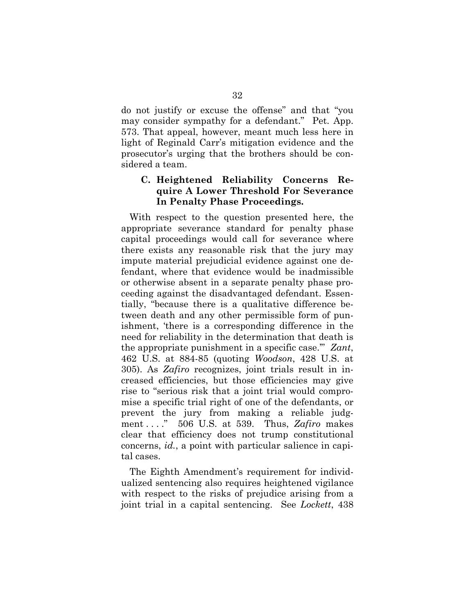do not justify or excuse the offense" and that "you may consider sympathy for a defendant." Pet. App. 573. That appeal, however, meant much less here in light of Reginald Carr's mitigation evidence and the prosecutor's urging that the brothers should be considered a team.

# **C. Heightened Reliability Concerns Require A Lower Threshold For Severance In Penalty Phase Proceedings.**

With respect to the question presented here, the appropriate severance standard for penalty phase capital proceedings would call for severance where there exists any reasonable risk that the jury may impute material prejudicial evidence against one defendant, where that evidence would be inadmissible or otherwise absent in a separate penalty phase proceeding against the disadvantaged defendant. Essentially, "because there is a qualitative difference between death and any other permissible form of punishment, 'there is a corresponding difference in the need for reliability in the determination that death is the appropriate punishment in a specific case.'" *Zant*, 462 U.S. at 884-85 (quoting *Woodson*, 428 U.S. at 305). As *Zafiro* recognizes, joint trials result in increased efficiencies, but those efficiencies may give rise to "serious risk that a joint trial would compromise a specific trial right of one of the defendants, or prevent the jury from making a reliable judgment . . . ." 506 U.S. at 539. Thus, *Zafiro* makes clear that efficiency does not trump constitutional concerns, *id.*, a point with particular salience in capital cases.

The Eighth Amendment's requirement for individualized sentencing also requires heightened vigilance with respect to the risks of prejudice arising from a joint trial in a capital sentencing. See *Lockett*, 438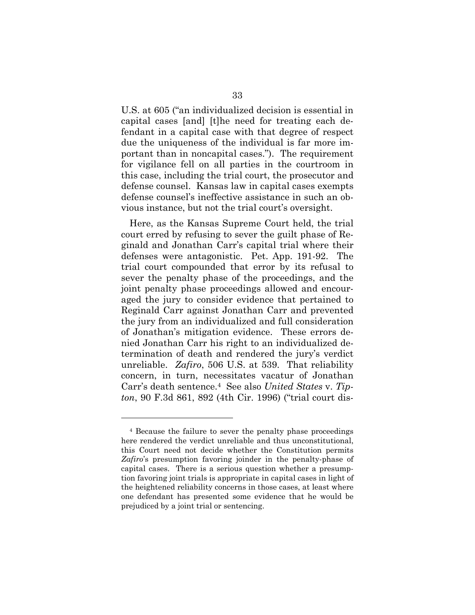U.S. at 605 ("an individualized decision is essential in capital cases [and] [t]he need for treating each defendant in a capital case with that degree of respect due the uniqueness of the individual is far more important than in noncapital cases."). The requirement for vigilance fell on all parties in the courtroom in this case, including the trial court, the prosecutor and defense counsel. Kansas law in capital cases exempts defense counsel's ineffective assistance in such an obvious instance, but not the trial court's oversight.

Here, as the Kansas Supreme Court held, the trial court erred by refusing to sever the guilt phase of Reginald and Jonathan Carr's capital trial where their defenses were antagonistic. Pet. App. 191-92. The trial court compounded that error by its refusal to sever the penalty phase of the proceedings, and the joint penalty phase proceedings allowed and encouraged the jury to consider evidence that pertained to Reginald Carr against Jonathan Carr and prevented the jury from an individualized and full consideration of Jonathan's mitigation evidence. These errors denied Jonathan Carr his right to an individualized determination of death and rendered the jury's verdict unreliable. *Zafiro*, 506 U.S. at 539. That reliability concern, in turn, necessitates vacatur of Jonathan Carr's death sentence.4 See also *United States* v. *Tipton*, 90 F.3d 861, 892 (4th Cir. 1996) ("trial court dis-

<sup>4</sup> Because the failure to sever the penalty phase proceedings here rendered the verdict unreliable and thus unconstitutional, this Court need not decide whether the Constitution permits *Zafiro*'s presumption favoring joinder in the penalty-phase of capital cases. There is a serious question whether a presumption favoring joint trials is appropriate in capital cases in light of the heightened reliability concerns in those cases, at least where one defendant has presented some evidence that he would be prejudiced by a joint trial or sentencing.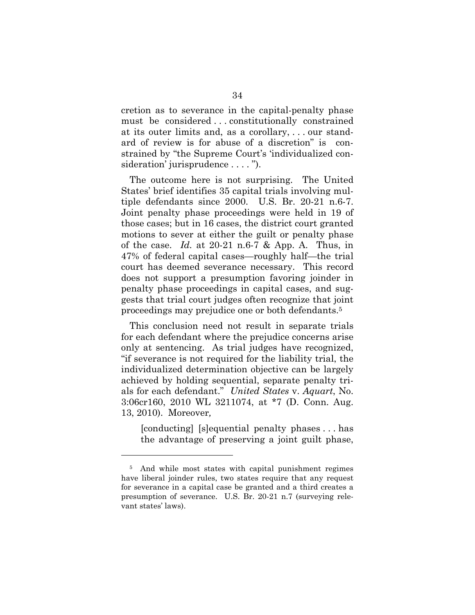cretion as to severance in the capital-penalty phase must be considered . . . constitutionally constrained at its outer limits and, as a corollary, . . . our standard of review is for abuse of a discretion" is constrained by "the Supreme Court's 'individualized consideration' jurisprudence . . . . ").

The outcome here is not surprising. The United States' brief identifies 35 capital trials involving multiple defendants since 2000. U.S. Br. 20-21 n.6-7. Joint penalty phase proceedings were held in 19 of those cases; but in 16 cases, the district court granted motions to sever at either the guilt or penalty phase of the case. *Id.* at 20-21 n.6-7 & App. A. Thus, in 47% of federal capital cases—roughly half—the trial court has deemed severance necessary. This record does not support a presumption favoring joinder in penalty phase proceedings in capital cases, and suggests that trial court judges often recognize that joint proceedings may prejudice one or both defendants.5

This conclusion need not result in separate trials for each defendant where the prejudice concerns arise only at sentencing. As trial judges have recognized, "if severance is not required for the liability trial, the individualized determination objective can be largely achieved by holding sequential, separate penalty trials for each defendant." *United States* v. *Aquart*, No. 3:06cr160, 2010 WL 3211074, at \*7 (D. Conn. Aug. 13, 2010). Moreover*,* 

[conducting] [s]equential penalty phases . . . has the advantage of preserving a joint guilt phase,

<sup>5</sup> And while most states with capital punishment regimes have liberal joinder rules, two states require that any request for severance in a capital case be granted and a third creates a presumption of severance. U.S. Br. 20-21 n.7 (surveying relevant states' laws).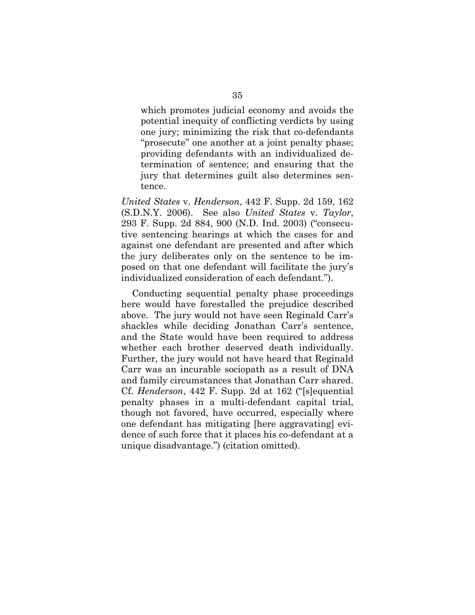which promotes judicial economy and avoids the potential inequity of conflicting verdicts by using one jury; minimizing the risk that co-defendants "prosecute" one another at a joint penalty phase; providing defendants with an individualized determination of sentence; and ensuring that the jury that determines guilt also determines sentence.

*United States* v. *Henderson*, 442 F. Supp. 2d 159, 162 (S.D.N.Y. 2006). See also *United States* v. *Taylor*, 293 F. Supp. 2d 884, 900 (N.D. Ind. 2003) ("consecutive sentencing hearings at which the cases for and against one defendant are presented and after which the jury deliberates only on the sentence to be imposed on that one defendant will facilitate the jury's individualized consideration of each defendant.").

 Conducting sequential penalty phase proceedings here would have forestalled the prejudice described above. The jury would not have seen Reginald Carr's shackles while deciding Jonathan Carr's sentence, and the State would have been required to address whether each brother deserved death individually. Further, the jury would not have heard that Reginald Carr was an incurable sociopath as a result of DNA and family circumstances that Jonathan Carr shared. Cf. *Henderson*, 442 F. Supp. 2d at 162 ("[s]equential penalty phases in a multi-defendant capital trial, though not favored, have occurred, especially where one defendant has mitigating [here aggravating] evidence of such force that it places his co-defendant at a unique disadvantage.") (citation omitted).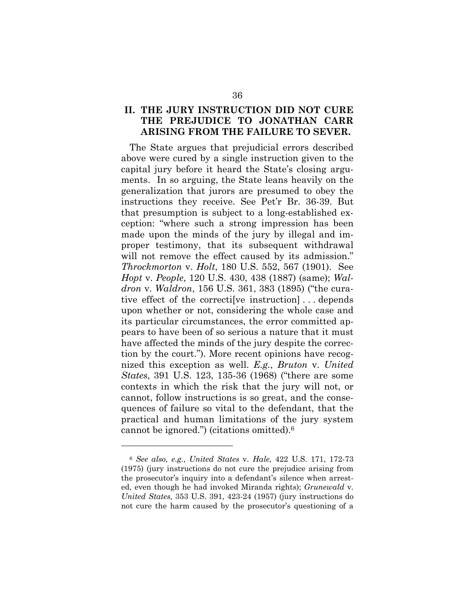# **II. THE JURY INSTRUCTION DID NOT CURE THE PREJUDICE TO JONATHAN CARR ARISING FROM THE FAILURE TO SEVER.**

The State argues that prejudicial errors described above were cured by a single instruction given to the capital jury before it heard the State's closing arguments. In so arguing, the State leans heavily on the generalization that jurors are presumed to obey the instructions they receive. See Pet'r Br. 36-39. But that presumption is subject to a long-established exception: "where such a strong impression has been made upon the minds of the jury by illegal and improper testimony, that its subsequent withdrawal will not remove the effect caused by its admission." *Throckmorton* v. *Holt*, 180 U.S. 552, 567 (1901). See *Hopt* v. *People*, 120 U.S. 430, 438 (1887) (same); *Waldron* v. *Waldron*, 156 U.S. 361, 383 (1895) ("the curative effect of the correcti[ve instruction] . . . depends upon whether or not, considering the whole case and its particular circumstances, the error committed appears to have been of so serious a nature that it must have affected the minds of the jury despite the correction by the court."). More recent opinions have recognized this exception as well. *E.g.*, *Bruton* v. *United States*, 391 U.S. 123, 135-36 (1968) ("there are some contexts in which the risk that the jury will not, or cannot, follow instructions is so great, and the consequences of failure so vital to the defendant, that the practical and human limitations of the jury system cannot be ignored.") (citations omitted).6

<sup>6</sup> *See also, e.g.*, *United States* v. *Hale,* 422 U.S. 171, 172-73 (1975) (jury instructions do not cure the prejudice arising from the prosecutor's inquiry into a defendant's silence when arrested, even though he had invoked Miranda rights); *Grunewald* v. *United States,* 353 U.S. 391, 423-24 (1957) (jury instructions do not cure the harm caused by the prosecutor's questioning of a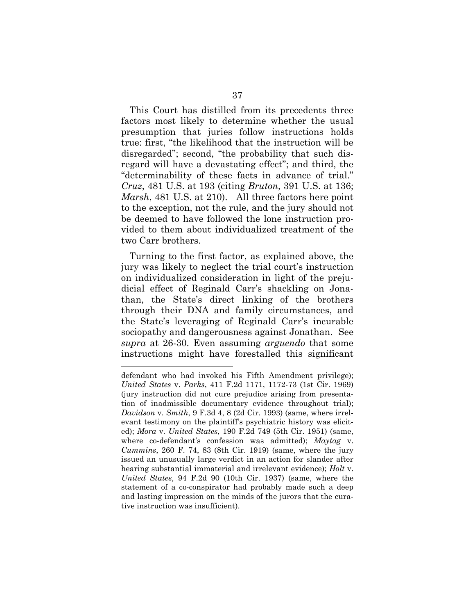This Court has distilled from its precedents three factors most likely to determine whether the usual presumption that juries follow instructions holds true: first, "the likelihood that the instruction will be disregarded"; second, "the probability that such disregard will have a devastating effect"; and third, the "determinability of these facts in advance of trial." *Cruz*, 481 U.S. at 193 (citing *Bruton*, 391 U.S. at 136; *Marsh*, 481 U.S. at 210). All three factors here point to the exception, not the rule, and the jury should not be deemed to have followed the lone instruction provided to them about individualized treatment of the two Carr brothers.

Turning to the first factor, as explained above, the jury was likely to neglect the trial court's instruction on individualized consideration in light of the prejudicial effect of Reginald Carr's shackling on Jonathan, the State's direct linking of the brothers through their DNA and family circumstances, and the State's leveraging of Reginald Carr's incurable sociopathy and dangerousness against Jonathan. See *supra* at 26-30. Even assuming *arguendo* that some instructions might have forestalled this significant

defendant who had invoked his Fifth Amendment privilege); *United States* v. *Parks*, 411 F.2d 1171, 1172-73 (1st Cir. 1969) (jury instruction did not cure prejudice arising from presentation of inadmissible documentary evidence throughout trial); *Davidson* v. *Smith*, 9 F.3d 4, 8 (2d Cir. 1993) (same, where irrelevant testimony on the plaintiff's psychiatric history was elicited); *Mora* v. *United States*, 190 F.2d 749 (5th Cir. 1951) (same, where co-defendant's confession was admitted); *Maytag* v. *Cummins*, 260 F. 74, 83 (8th Cir. 1919) (same, where the jury issued an unusually large verdict in an action for slander after hearing substantial immaterial and irrelevant evidence); *Holt* v. *United States*, 94 F.2d 90 (10th Cir. 1937) (same, where the statement of a co-conspirator had probably made such a deep and lasting impression on the minds of the jurors that the curative instruction was insufficient).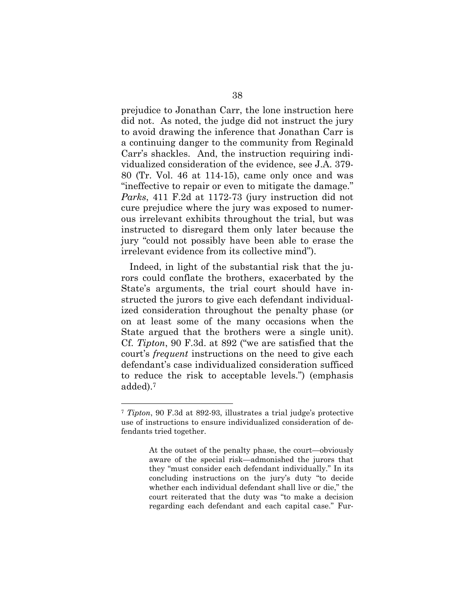prejudice to Jonathan Carr, the lone instruction here did not. As noted, the judge did not instruct the jury to avoid drawing the inference that Jonathan Carr is a continuing danger to the community from Reginald Carr's shackles. And, the instruction requiring individualized consideration of the evidence, see J.A. 379- 80 (Tr. Vol. 46 at 114-15), came only once and was "ineffective to repair or even to mitigate the damage." *Parks*, 411 F.2d at 1172-73 (jury instruction did not cure prejudice where the jury was exposed to numerous irrelevant exhibits throughout the trial, but was instructed to disregard them only later because the jury "could not possibly have been able to erase the irrelevant evidence from its collective mind").

Indeed, in light of the substantial risk that the jurors could conflate the brothers, exacerbated by the State's arguments, the trial court should have instructed the jurors to give each defendant individualized consideration throughout the penalty phase (or on at least some of the many occasions when the State argued that the brothers were a single unit). Cf. *Tipton*, 90 F.3d. at 892 ("we are satisfied that the court's *frequent* instructions on the need to give each defendant's case individualized consideration sufficed to reduce the risk to acceptable levels.") (emphasis added).7

<sup>7</sup> *Tipton*, 90 F.3d at 892-93, illustrates a trial judge's protective use of instructions to ensure individualized consideration of defendants tried together.

At the outset of the penalty phase, the court—obviously aware of the special risk—admonished the jurors that they "must consider each defendant individually." In its concluding instructions on the jury's duty "to decide whether each individual defendant shall live or die," the court reiterated that the duty was "to make a decision regarding each defendant and each capital case." Fur-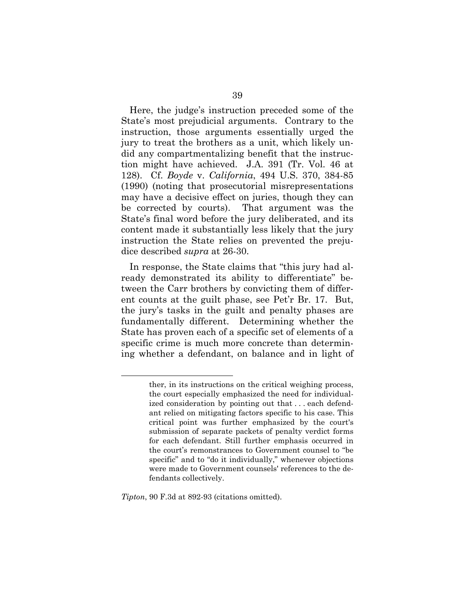Here, the judge's instruction preceded some of the State's most prejudicial arguments. Contrary to the instruction, those arguments essentially urged the jury to treat the brothers as a unit, which likely undid any compartmentalizing benefit that the instruction might have achieved. J.A. 391 (Tr. Vol. 46 at 128). Cf. *Boyde* v. *California*, 494 U.S. 370, 384-85 (1990) (noting that prosecutorial misrepresentations may have a decisive effect on juries, though they can be corrected by courts). That argument was the State's final word before the jury deliberated, and its content made it substantially less likely that the jury instruction the State relies on prevented the prejudice described *supra* at 26-30.

In response, the State claims that "this jury had already demonstrated its ability to differentiate" between the Carr brothers by convicting them of different counts at the guilt phase, see Pet'r Br. 17. But, the jury's tasks in the guilt and penalty phases are fundamentally different. Determining whether the State has proven each of a specific set of elements of a specific crime is much more concrete than determining whether a defendant, on balance and in light of

*Tipton*, 90 F.3d at 892-93 (citations omitted).

ther, in its instructions on the critical weighing process, the court especially emphasized the need for individualized consideration by pointing out that . . . each defendant relied on mitigating factors specific to his case. This critical point was further emphasized by the court's submission of separate packets of penalty verdict forms for each defendant. Still further emphasis occurred in the court's remonstrances to Government counsel to "be specific" and to "do it individually," whenever objections were made to Government counsels' references to the defendants collectively.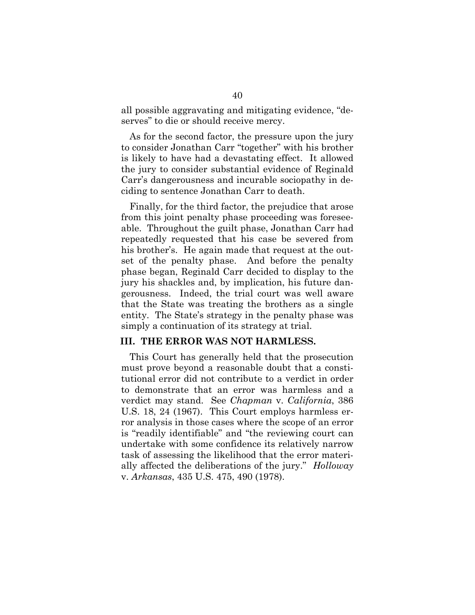all possible aggravating and mitigating evidence, "deserves" to die or should receive mercy.

As for the second factor, the pressure upon the jury to consider Jonathan Carr "together" with his brother is likely to have had a devastating effect. It allowed the jury to consider substantial evidence of Reginald Carr's dangerousness and incurable sociopathy in deciding to sentence Jonathan Carr to death.

Finally, for the third factor, the prejudice that arose from this joint penalty phase proceeding was foreseeable. Throughout the guilt phase, Jonathan Carr had repeatedly requested that his case be severed from his brother's. He again made that request at the outset of the penalty phase. And before the penalty phase began, Reginald Carr decided to display to the jury his shackles and, by implication, his future dangerousness. Indeed, the trial court was well aware that the State was treating the brothers as a single entity. The State's strategy in the penalty phase was simply a continuation of its strategy at trial.

#### **III. THE ERROR WAS NOT HARMLESS.**

This Court has generally held that the prosecution must prove beyond a reasonable doubt that a constitutional error did not contribute to a verdict in order to demonstrate that an error was harmless and a verdict may stand. See *Chapman* v. *California*, 386 U.S. 18, 24 (1967). This Court employs harmless error analysis in those cases where the scope of an error is "readily identifiable" and "the reviewing court can undertake with some confidence its relatively narrow task of assessing the likelihood that the error materially affected the deliberations of the jury." *Holloway*  v. *Arkansas*, 435 U.S. 475, 490 (1978).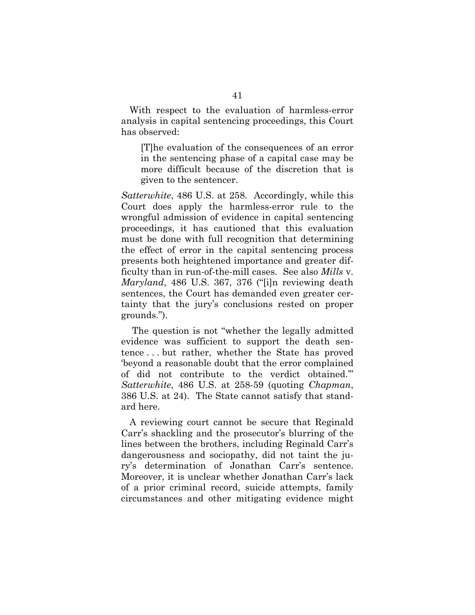With respect to the evaluation of harmless-error analysis in capital sentencing proceedings, this Court has observed:

[T]he evaluation of the consequences of an error in the sentencing phase of a capital case may be more difficult because of the discretion that is given to the sentencer.

*Satterwhite*, 486 U.S. at 258. Accordingly, while this Court does apply the harmless-error rule to the wrongful admission of evidence in capital sentencing proceedings, it has cautioned that this evaluation must be done with full recognition that determining the effect of error in the capital sentencing process presents both heightened importance and greater difficulty than in run-of-the-mill cases. See also *Mills* v. *Maryland*, 486 U.S. 367, 376 ("[i]n reviewing death sentences, the Court has demanded even greater certainty that the jury's conclusions rested on proper grounds.").

 The question is not "whether the legally admitted evidence was sufficient to support the death sentence . . . but rather, whether the State has proved 'beyond a reasonable doubt that the error complained of did not contribute to the verdict obtained.'" *Satterwhite*, 486 U.S. at 258-59 (quoting *Chapman*, 386 U.S. at 24). The State cannot satisfy that standard here.

A reviewing court cannot be secure that Reginald Carr's shackling and the prosecutor's blurring of the lines between the brothers, including Reginald Carr's dangerousness and sociopathy, did not taint the jury's determination of Jonathan Carr's sentence. Moreover, it is unclear whether Jonathan Carr's lack of a prior criminal record, suicide attempts, family circumstances and other mitigating evidence might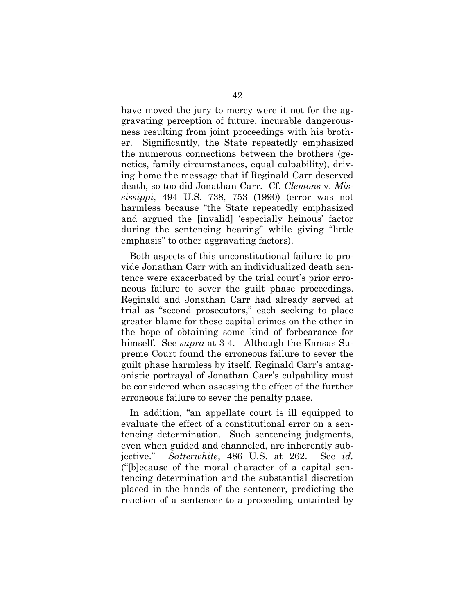have moved the jury to mercy were it not for the aggravating perception of future, incurable dangerousness resulting from joint proceedings with his brother. Significantly, the State repeatedly emphasized the numerous connections between the brothers (genetics, family circumstances, equal culpability), driving home the message that if Reginald Carr deserved death, so too did Jonathan Carr. Cf. *Clemons* v. *Mississippi*, 494 U.S. 738, 753 (1990) (error was not harmless because "the State repeatedly emphasized and argued the [invalid] 'especially heinous' factor during the sentencing hearing" while giving "little emphasis" to other aggravating factors).

Both aspects of this unconstitutional failure to provide Jonathan Carr with an individualized death sentence were exacerbated by the trial court's prior erroneous failure to sever the guilt phase proceedings. Reginald and Jonathan Carr had already served at trial as "second prosecutors," each seeking to place greater blame for these capital crimes on the other in the hope of obtaining some kind of forbearance for himself. See *supra* at 3-4. Although the Kansas Supreme Court found the erroneous failure to sever the guilt phase harmless by itself, Reginald Carr's antagonistic portrayal of Jonathan Carr's culpability must be considered when assessing the effect of the further erroneous failure to sever the penalty phase.

In addition, "an appellate court is ill equipped to evaluate the effect of a constitutional error on a sentencing determination. Such sentencing judgments, even when guided and channeled, are inherently subjective." *Satterwhite*, 486 U.S. at 262. See *id.* ("[b]ecause of the moral character of a capital sentencing determination and the substantial discretion placed in the hands of the sentencer, predicting the reaction of a sentencer to a proceeding untainted by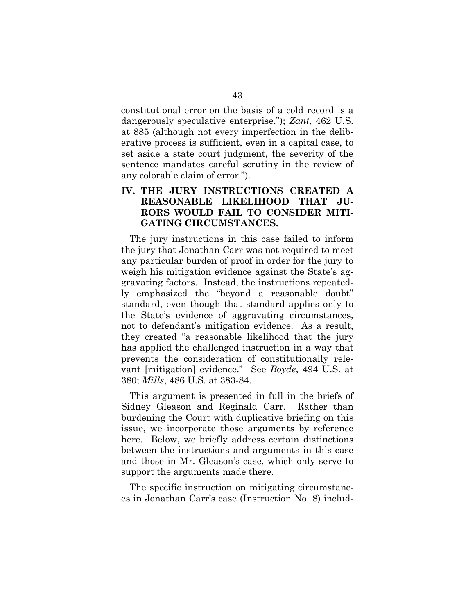constitutional error on the basis of a cold record is a dangerously speculative enterprise."); *Zant*, 462 U.S. at 885 (although not every imperfection in the deliberative process is sufficient, even in a capital case, to set aside a state court judgment, the severity of the sentence mandates careful scrutiny in the review of any colorable claim of error.").

# **IV. THE JURY INSTRUCTIONS CREATED A REASONABLE LIKELIHOOD THAT JU-RORS WOULD FAIL TO CONSIDER MITI-GATING CIRCUMSTANCES.**

The jury instructions in this case failed to inform the jury that Jonathan Carr was not required to meet any particular burden of proof in order for the jury to weigh his mitigation evidence against the State's aggravating factors. Instead, the instructions repeatedly emphasized the "beyond a reasonable doubt" standard, even though that standard applies only to the State's evidence of aggravating circumstances, not to defendant's mitigation evidence. As a result, they created "a reasonable likelihood that the jury has applied the challenged instruction in a way that prevents the consideration of constitutionally relevant [mitigation] evidence." See *Boyde*, 494 U.S. at 380; *Mills*, 486 U.S. at 383-84.

This argument is presented in full in the briefs of Sidney Gleason and Reginald Carr. Rather than burdening the Court with duplicative briefing on this issue, we incorporate those arguments by reference here. Below, we briefly address certain distinctions between the instructions and arguments in this case and those in Mr. Gleason's case, which only serve to support the arguments made there.

The specific instruction on mitigating circumstances in Jonathan Carr's case (Instruction No. 8) includ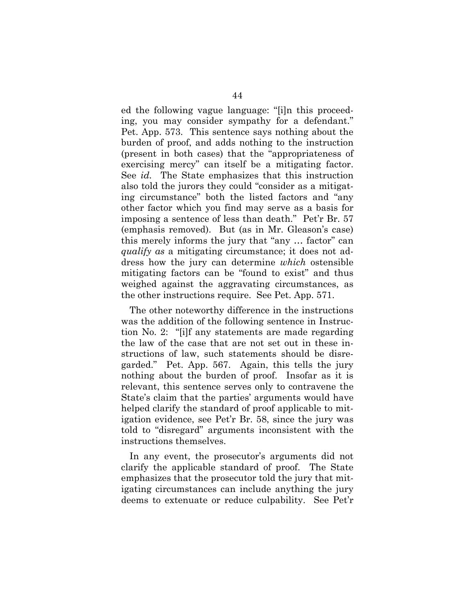ed the following vague language: "[i]n this proceeding, you may consider sympathy for a defendant." Pet. App. 573. This sentence says nothing about the burden of proof, and adds nothing to the instruction (present in both cases) that the "appropriateness of exercising mercy" can itself be a mitigating factor. See *id.* The State emphasizes that this instruction also told the jurors they could "consider as a mitigating circumstance" both the listed factors and "any other factor which you find may serve as a basis for imposing a sentence of less than death." Pet'r Br. 57 (emphasis removed). But (as in Mr. Gleason's case) this merely informs the jury that "any … factor" can *qualify as* a mitigating circumstance; it does not address how the jury can determine *which* ostensible mitigating factors can be "found to exist" and thus weighed against the aggravating circumstances, as the other instructions require. See Pet. App. 571.

The other noteworthy difference in the instructions was the addition of the following sentence in Instruction No. 2: "[i]f any statements are made regarding the law of the case that are not set out in these instructions of law, such statements should be disregarded." Pet. App. 567. Again, this tells the jury nothing about the burden of proof. Insofar as it is relevant, this sentence serves only to contravene the State's claim that the parties' arguments would have helped clarify the standard of proof applicable to mitigation evidence, see Pet'r Br. 58, since the jury was told to "disregard" arguments inconsistent with the instructions themselves.

In any event, the prosecutor's arguments did not clarify the applicable standard of proof. The State emphasizes that the prosecutor told the jury that mitigating circumstances can include anything the jury deems to extenuate or reduce culpability. See Pet'r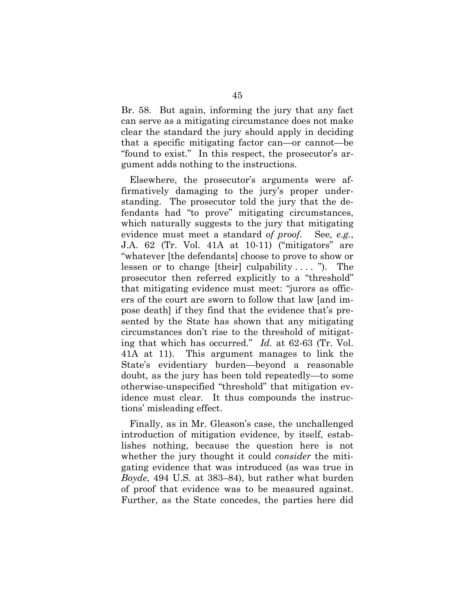Br. 58. But again, informing the jury that any fact can serve as a mitigating circumstance does not make clear the standard the jury should apply in deciding that a specific mitigating factor can—or cannot—be "found to exist." In this respect, the prosecutor's argument adds nothing to the instructions.

Elsewhere, the prosecutor's arguments were affirmatively damaging to the jury's proper understanding. The prosecutor told the jury that the defendants had "to prove" mitigating circumstances, which naturally suggests to the jury that mitigating evidence must meet a standard *of proof*. See*, e.g.*, J.A. 62 (Tr. Vol. 41A at 10-11) ("mitigators" are "whatever [the defendants] choose to prove to show or lessen or to change [their] culpability  $\dots$  "). The prosecutor then referred explicitly to a "threshold" that mitigating evidence must meet: "jurors as officers of the court are sworn to follow that law [and impose death] if they find that the evidence that's presented by the State has shown that any mitigating circumstances don't rise to the threshold of mitigating that which has occurred." *Id.* at 62-63 (Tr. Vol. 41A at 11). This argument manages to link the State's evidentiary burden—beyond a reasonable doubt, as the jury has been told repeatedly—to some otherwise-unspecified "threshold" that mitigation evidence must clear. It thus compounds the instructions' misleading effect.

Finally, as in Mr. Gleason's case, the unchallenged introduction of mitigation evidence, by itself, establishes nothing, because the question here is not whether the jury thought it could *consider* the mitigating evidence that was introduced (as was true in *Boyde*, 494 U.S. at 383–84), but rather what burden of proof that evidence was to be measured against. Further, as the State concedes, the parties here did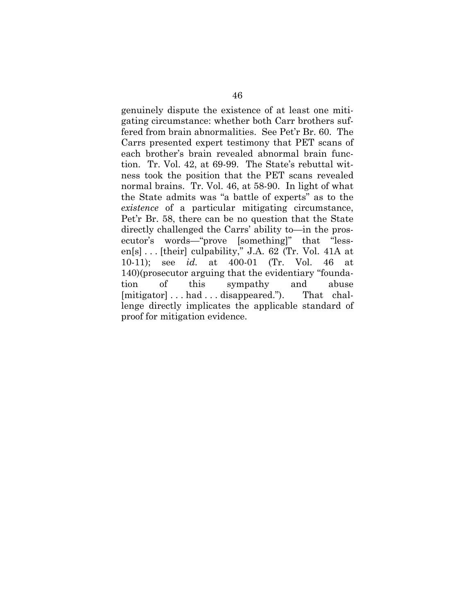genuinely dispute the existence of at least one mitigating circumstance: whether both Carr brothers suffered from brain abnormalities. See Pet'r Br. 60. The Carrs presented expert testimony that PET scans of each brother's brain revealed abnormal brain function. Tr. Vol. 42, at 69-99. The State's rebuttal witness took the position that the PET scans revealed normal brains. Tr. Vol. 46, at 58-90. In light of what the State admits was "a battle of experts" as to the *existence* of a particular mitigating circumstance, Pet'r Br. 58, there can be no question that the State directly challenged the Carrs' ability to—in the prosecutor's words—"prove [something]" that "lessen[s] . . . [their] culpability," J.A. 62 (Tr. Vol. 41A at 10-11); see *id.* at 400-01 (Tr. Vol. 46 at 140)(prosecutor arguing that the evidentiary "foundation of this sympathy and abuse [mitigator] . . . had . . . disappeared."). That challenge directly implicates the applicable standard of proof for mitigation evidence.